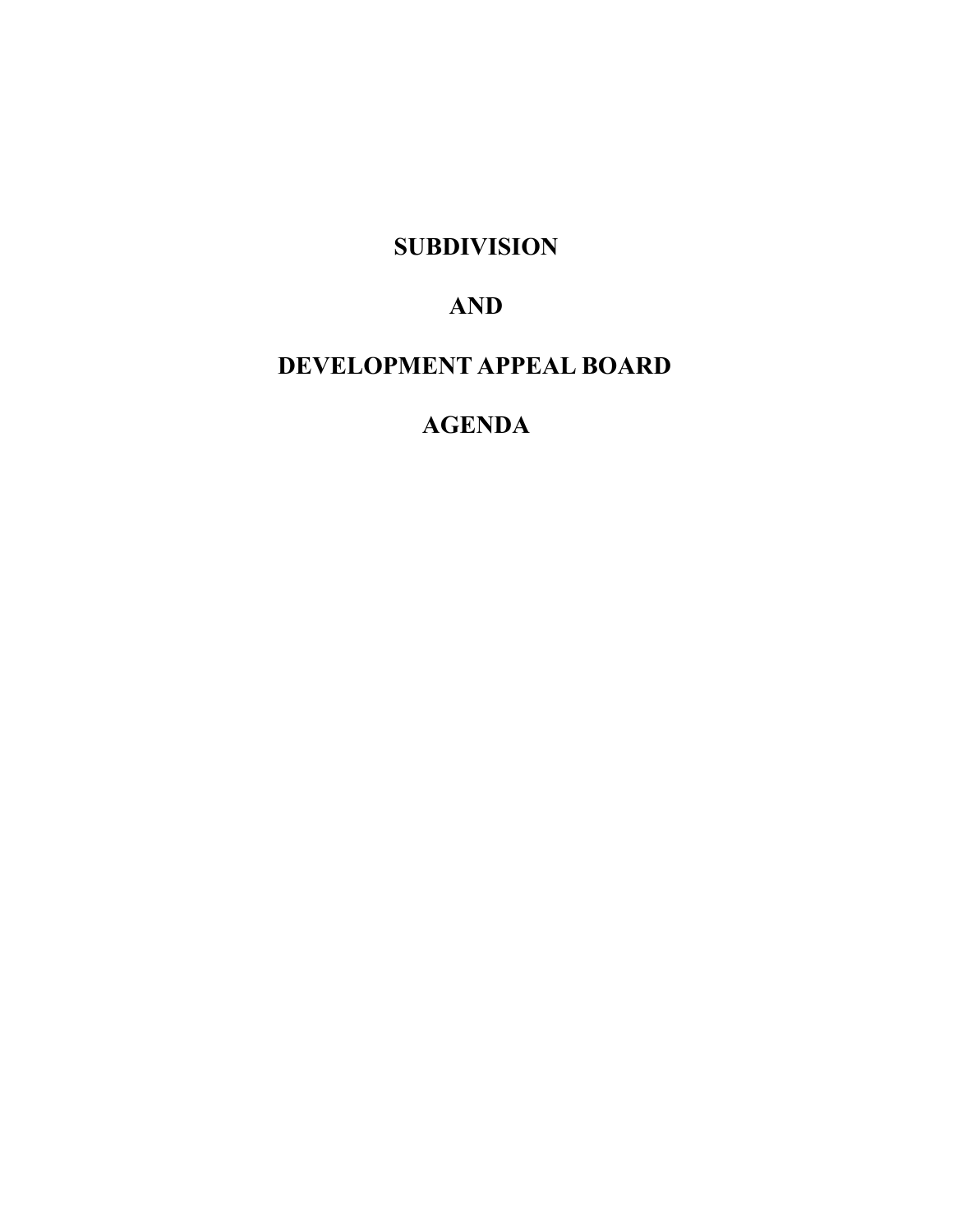**SUBDIVISION**

## **AND**

## **DEVELOPMENT APPEAL BOARD**

## **AGENDA**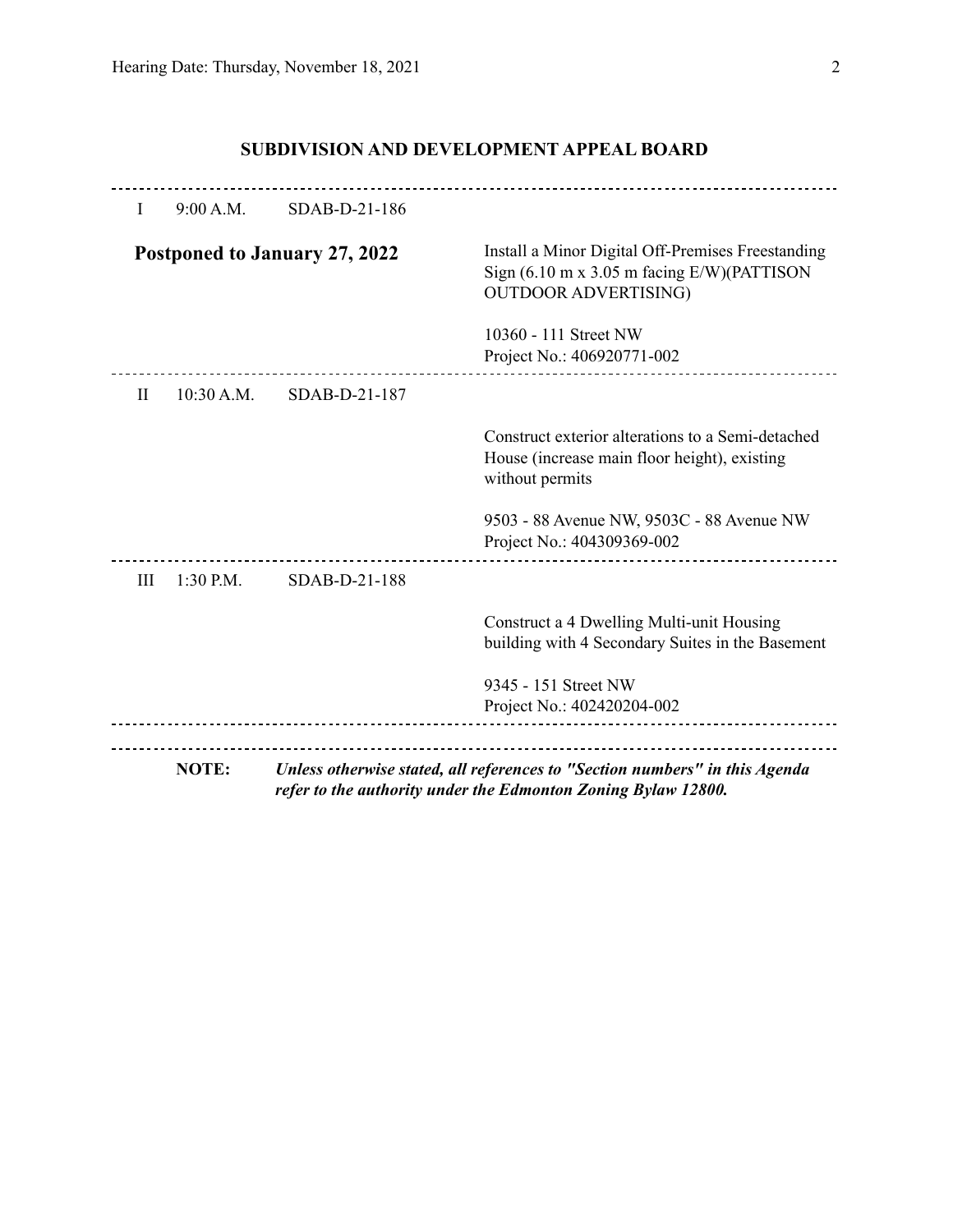| L            | 9:00 A.M.    | SDAB-D-21-186                 |                                                                                                                                                    |
|--------------|--------------|-------------------------------|----------------------------------------------------------------------------------------------------------------------------------------------------|
|              |              | Postponed to January 27, 2022 | Install a Minor Digital Off-Premises Freestanding<br>Sign $(6.10 \text{ m x } 3.05 \text{ m facing E/W})$ (PATTISON<br><b>OUTDOOR ADVERTISING)</b> |
|              |              |                               | 10360 - 111 Street NW                                                                                                                              |
|              |              |                               | Project No.: 406920771-002                                                                                                                         |
| $\mathbf{H}$ | $10:30$ A.M. | SDAB-D-21-187                 |                                                                                                                                                    |
|              |              |                               | Construct exterior alterations to a Semi-detached<br>House (increase main floor height), existing<br>without permits                               |
|              |              |                               | 9503 - 88 Avenue NW, 9503C - 88 Avenue NW<br>Project No.: 404309369-002                                                                            |
| Ш            | 1:30 P.M.    | SDAB-D-21-188                 |                                                                                                                                                    |
|              |              |                               | Construct a 4 Dwelling Multi-unit Housing<br>building with 4 Secondary Suites in the Basement                                                      |
|              |              |                               | 9345 - 151 Street NW                                                                                                                               |
|              |              |                               | Project No.: 402420204-002                                                                                                                         |
|              | <b>NOTE:</b> |                               | Unless otherwise stated, all references to "Section numbers" in this Agenda<br>refer to the authority under the Edmonton Zoning Bylaw 12800.       |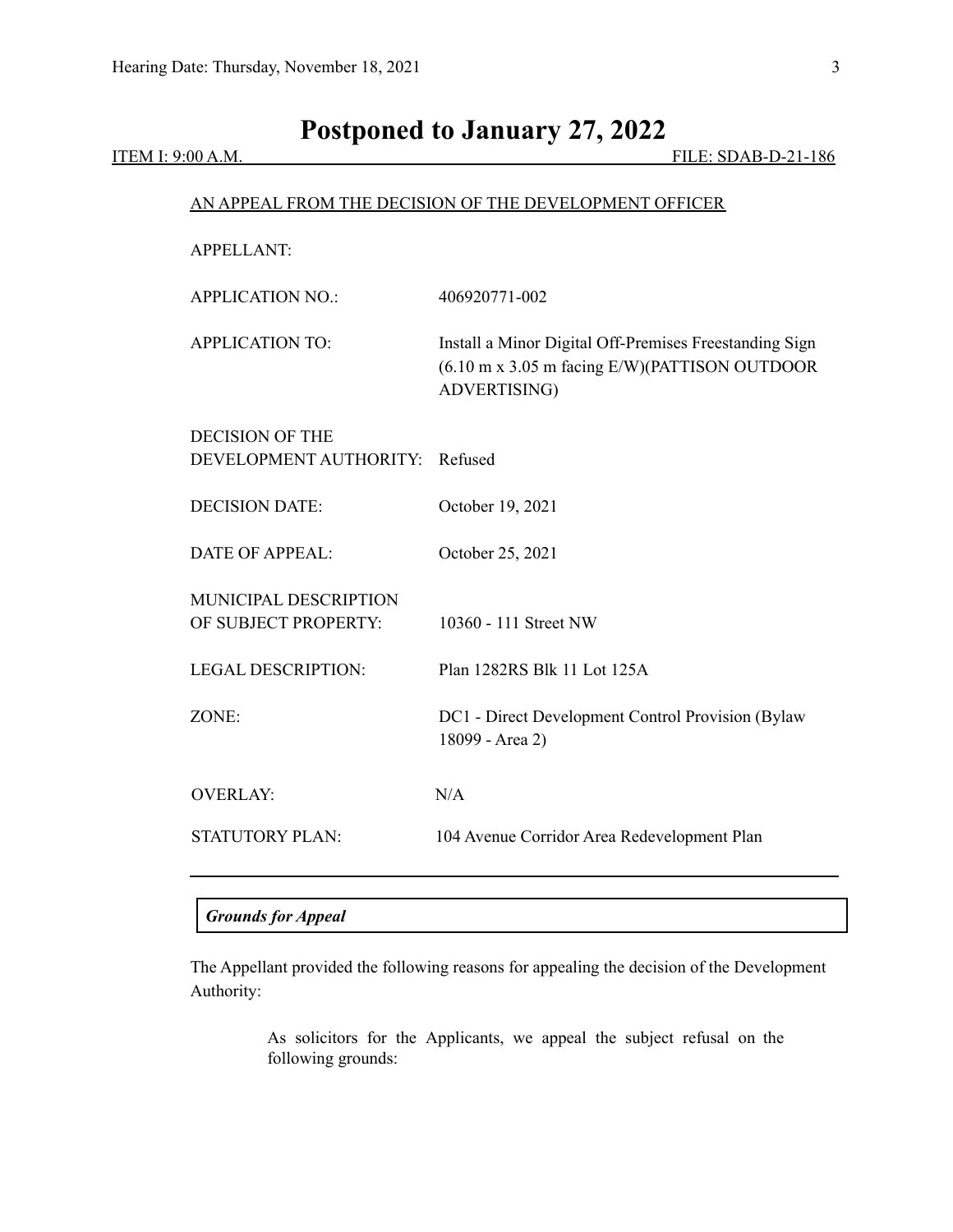# **Postponed to January 27, 2022**

ITEM I: 9:00 A.M. FILE: SDAB-D-21-186

|                                                          | AN APPEAL FROM THE DECISION OF THE DEVELOPMENT OFFICER                                                                  |
|----------------------------------------------------------|-------------------------------------------------------------------------------------------------------------------------|
| <b>APPELLANT:</b>                                        |                                                                                                                         |
| <b>APPLICATION NO.:</b>                                  | 406920771-002                                                                                                           |
| <b>APPLICATION TO:</b>                                   | Install a Minor Digital Off-Premises Freestanding Sign<br>(6.10 m x 3.05 m facing E/W)(PATTISON OUTDOOR<br>ADVERTISING) |
| <b>DECISION OF THE</b><br>DEVELOPMENT AUTHORITY: Refused |                                                                                                                         |
| <b>DECISION DATE:</b>                                    | October 19, 2021                                                                                                        |
| <b>DATE OF APPEAL:</b>                                   | October 25, 2021                                                                                                        |
| <b>MUNICIPAL DESCRIPTION</b><br>OF SUBJECT PROPERTY:     | 10360 - 111 Street NW                                                                                                   |
| <b>LEGAL DESCRIPTION:</b>                                | Plan 1282RS Blk 11 Lot 125A                                                                                             |
| ZONE:                                                    | DC1 - Direct Development Control Provision (Bylaw<br>18099 - Area 2)                                                    |
| <b>OVERLAY:</b>                                          | N/A                                                                                                                     |
| <b>STATUTORY PLAN:</b>                                   | 104 Avenue Corridor Area Redevelopment Plan                                                                             |

### *Grounds for Appeal*

The Appellant provided the following reasons for appealing the decision of the Development Authority:

> As solicitors for the Applicants, we appeal the subject refusal on the following grounds: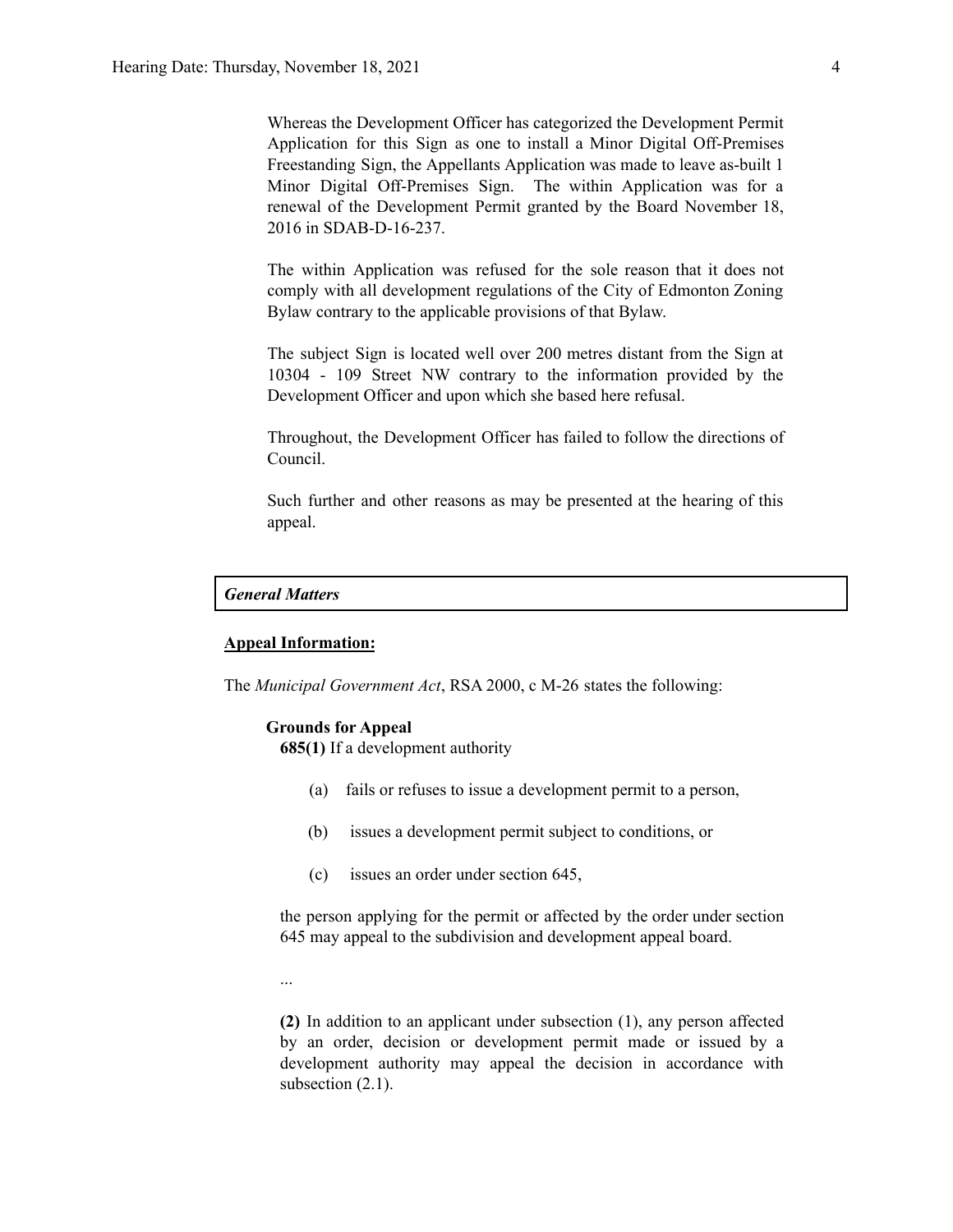Whereas the Development Officer has categorized the Development Permit Application for this Sign as one to install a Minor Digital Off-Premises Freestanding Sign, the Appellants Application was made to leave as-built 1 Minor Digital Off-Premises Sign. The within Application was for a renewal of the Development Permit granted by the Board November 18, 2016 in SDAB-D-16-237.

The within Application was refused for the sole reason that it does not comply with all development regulations of the City of Edmonton Zoning Bylaw contrary to the applicable provisions of that Bylaw.

The subject Sign is located well over 200 metres distant from the Sign at 10304 - 109 Street NW contrary to the information provided by the Development Officer and upon which she based here refusal.

Throughout, the Development Officer has failed to follow the directions of Council.

Such further and other reasons as may be presented at the hearing of this appeal.

#### *General Matters*

#### **Appeal Information:**

The *Municipal Government Act*, RSA 2000, c M-26 states the following:

#### **Grounds for Appeal**

**685(1)** If a development authority

- (a) fails or refuses to issue a development permit to a person,
- (b) issues a development permit subject to conditions, or
- (c) issues an order under section 645,

the person applying for the permit or affected by the order under section 645 may appeal to the subdivision and development appeal board.

...

**(2)** In addition to an applicant under subsection (1), any person affected by an order, decision or development permit made or issued by a development authority may appeal the decision in accordance with subsection  $(2.1)$ .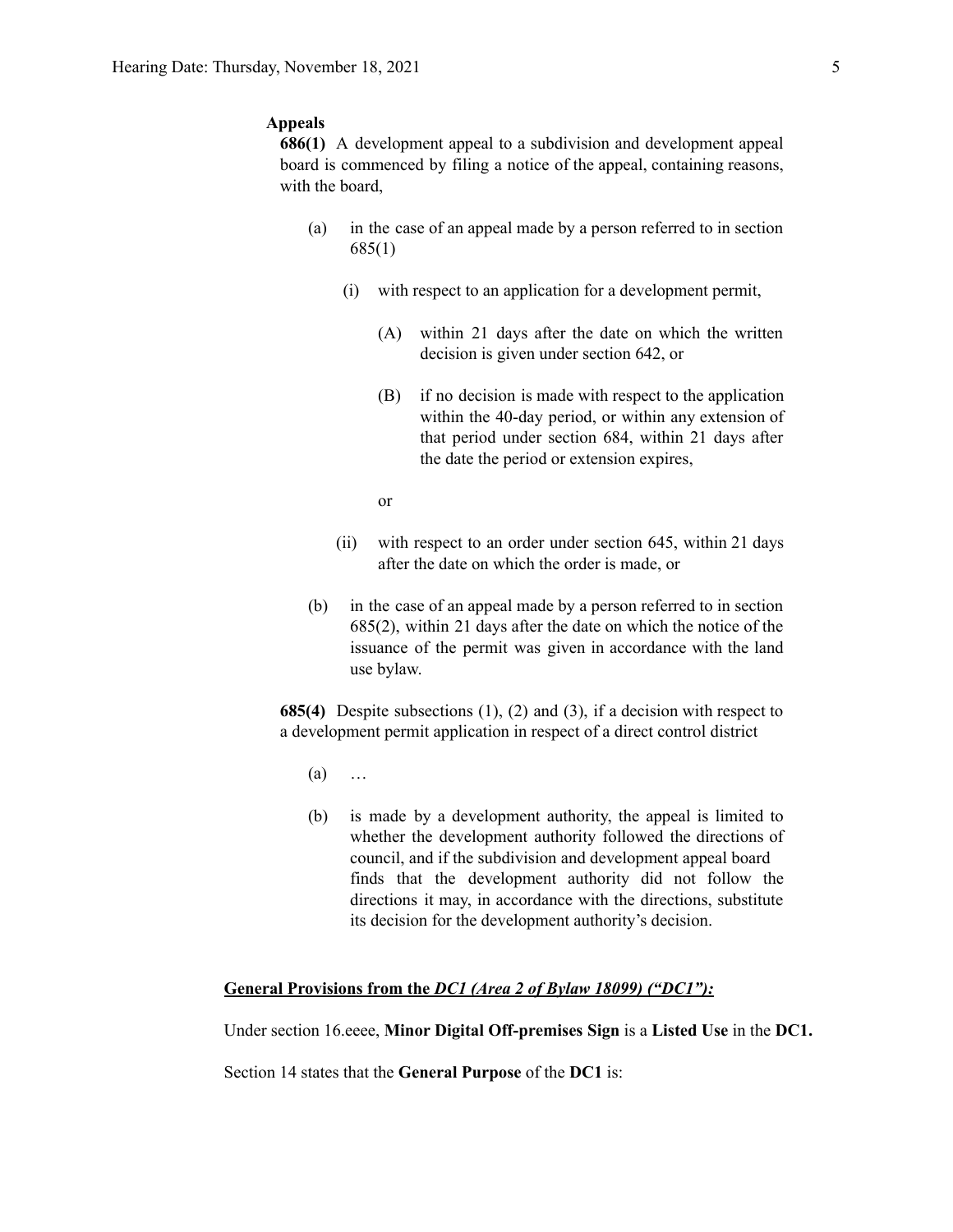#### **Appeals**

**686(1)** A development appeal to a subdivision and development appeal board is commenced by filing a notice of the appeal, containing reasons, with the board,

- (a) in the case of an appeal made by a person referred to in section 685(1)
	- (i) with respect to an application for a development permit,
		- (A) within 21 days after the date on which the written decision is given under section 642, or
		- (B) if no decision is made with respect to the application within the 40-day period, or within any extension of that period under section 684, within 21 days after the date the period or extension expires,
		- or
	- (ii) with respect to an order under section 645, within 21 days after the date on which the order is made, or
- (b) in the case of an appeal made by a person referred to in section 685(2), within 21 days after the date on which the notice of the issuance of the permit was given in accordance with the land use bylaw.

**685(4)** Despite subsections (1), (2) and (3), if a decision with respect to a development permit application in respect of a direct control district

- $(a)$  …
- (b) is made by a development authority, the appeal is limited to whether the development authority followed the directions of council, and if the subdivision and development appeal board finds that the development authority did not follow the directions it may, in accordance with the directions, substitute its decision for the development authority's decision.

#### **General Provisions from the** *DC1 (Area 2 of Bylaw 18099) ("DC1"):*

Under section 16.eeee, **Minor Digital Off-premises Sign** is a **Listed Use** in the **DC1.**

Section 14 states that the **General Purpose** of the **DC1** is: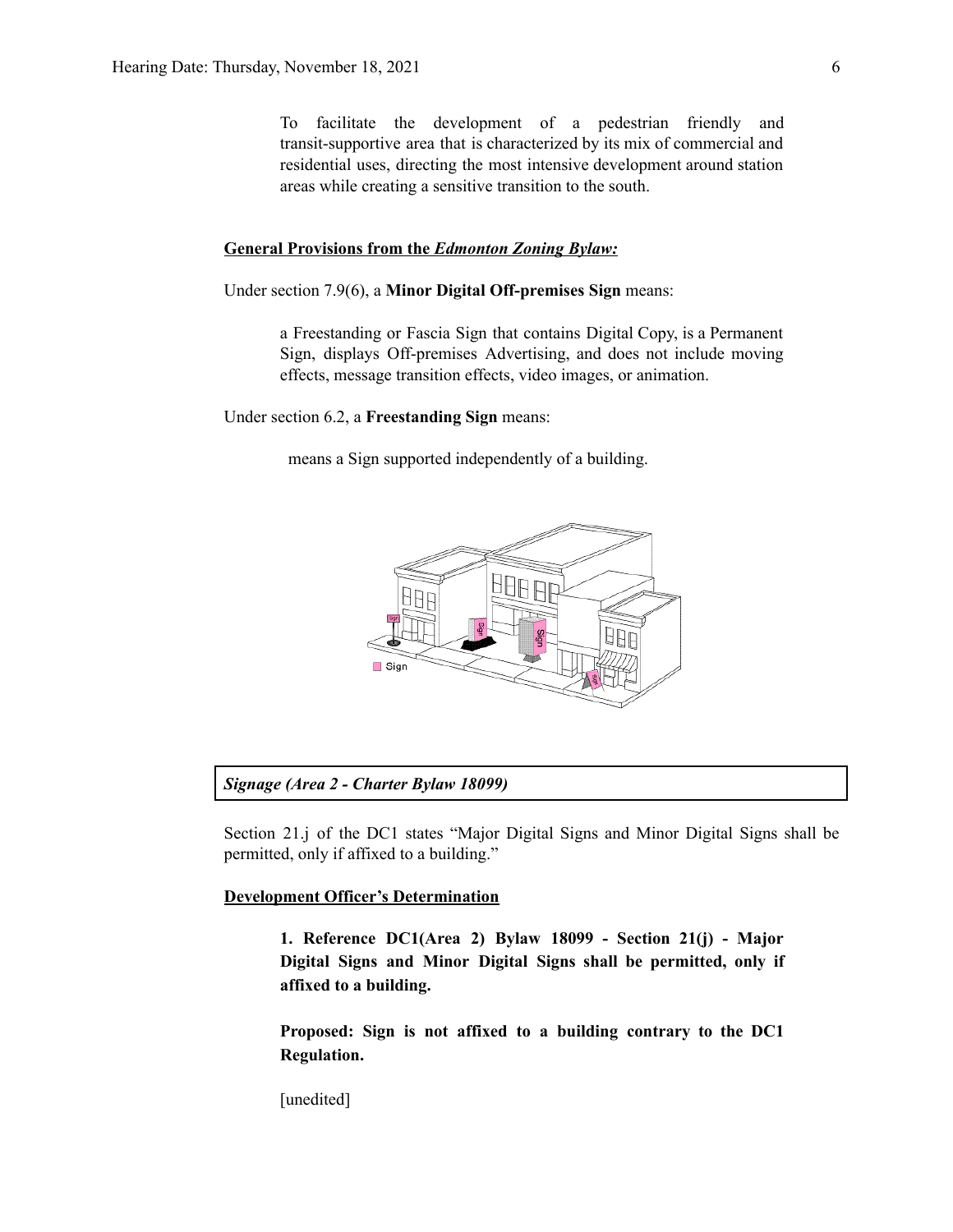To facilitate the development of a pedestrian friendly and transit-supportive area that is characterized by its mix of commercial and residential uses, directing the most intensive development around station areas while creating a sensitive transition to the south.

#### **General Provisions from the** *Edmonton Zoning Bylaw:*

Under section 7.9(6), a **Minor Digital Off-premises Sign** means:

a Freestanding or Fascia Sign that contains Digital Copy, is a Permanent Sign, displays Off-premises Advertising, and does not include moving effects, message transition effects, video images, or animation.

Under section 6.2, a **Freestanding Sign** means:

means a Sign supported independently of a building.



#### *Signage (Area 2 - Charter Bylaw 18099)*

Section 21.j of the DC1 states "Major Digital Signs and Minor Digital Signs shall be permitted, only if affixed to a building."

#### **Development Officer's Determination**

**1. Reference DC1(Area 2) Bylaw 18099 - Section 21(j) - Major Digital Signs and Minor Digital Signs shall be permitted, only if affixed to a building.**

**Proposed: Sign is not affixed to a building contrary to the DC1 Regulation.**

[unedited]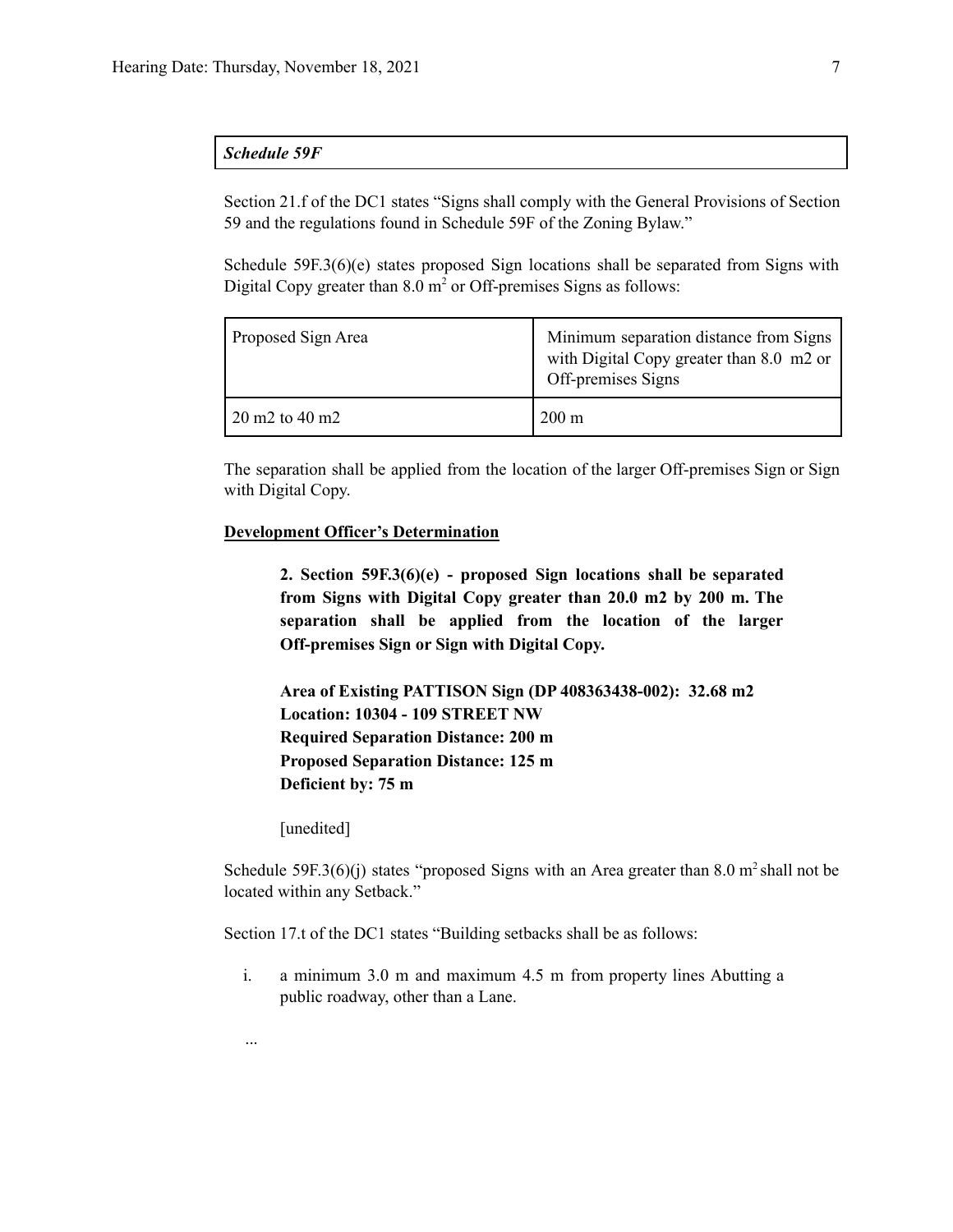#### *Schedule 59F*

Section 21.f of the DC1 states "Signs shall comply with the General Provisions of Section 59 and the regulations found in Schedule 59F of the Zoning Bylaw."

Schedule 59F.3(6)(e) states proposed Sign locations shall be separated from Signs with Digital Copy greater than  $8.0 \text{ m}^2$  or Off-premises Signs as follows:

| Proposed Sign Area        | Minimum separation distance from Signs<br>with Digital Copy greater than 8.0 m2 or<br>Off-premises Signs |
|---------------------------|----------------------------------------------------------------------------------------------------------|
| $20 \text{ m}$ 2 to 40 m2 | $200 \text{ m}$                                                                                          |

The separation shall be applied from the location of the larger Off-premises Sign or Sign with Digital Copy.

#### **Development Officer's Determination**

**2. Section 59F.3(6)(e) - proposed Sign locations shall be separated from Signs with Digital Copy greater than 20.0 m2 by 200 m. The separation shall be applied from the location of the larger Off-premises Sign or Sign with Digital Copy.**

**Area of Existing PATTISON Sign (DP 408363438-002): 32.68 m2 Location: 10304 - 109 STREET NW Required Separation Distance: 200 m Proposed Separation Distance: 125 m Deficient by: 75 m**

[unedited]

...

Schedule 59F.3(6)(j) states "proposed Signs with an Area greater than  $8.0 \text{ m}^2$  shall not be located within any Setback."

Section 17.t of the DC1 states "Building setbacks shall be as follows:

i. a minimum 3.0 m and maximum 4.5 m from property lines Abutting a public roadway, other than a Lane.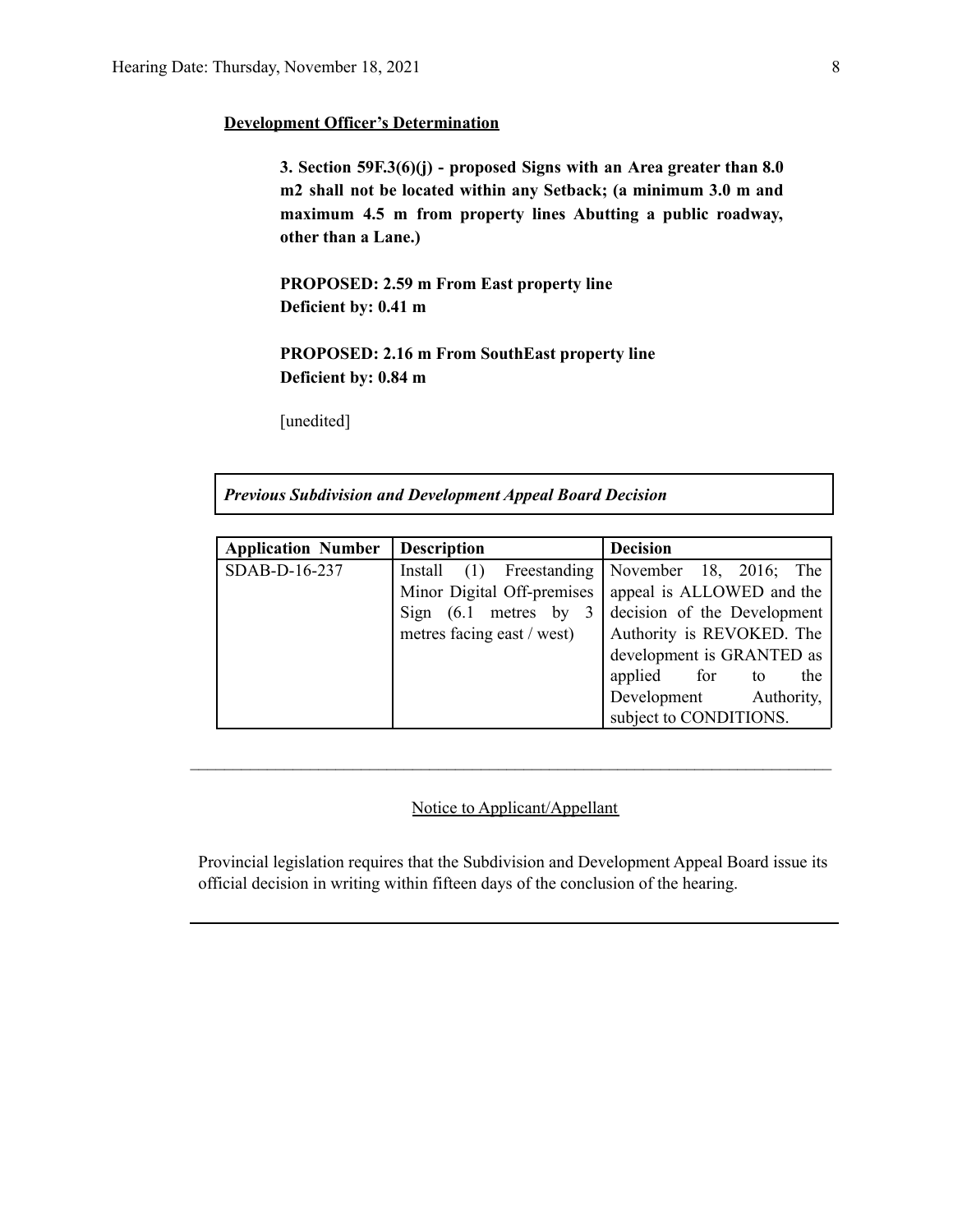#### **Development Officer's Determination**

**3. Section 59F.3(6)(j) - proposed Signs with an Area greater than 8.0 m2 shall not be located within any Setback; (a minimum 3.0 m and maximum 4.5 m from property lines Abutting a public roadway, other than a Lane.)**

**PROPOSED: 2.59 m From East property line Deficient by: 0.41 m**

**PROPOSED: 2.16 m From SouthEast property line Deficient by: 0.84 m**

[unedited]

*Previous Subdivision and Development Appeal Board Decision*

| <b>Application Number</b> | <b>Description</b>         | <b>Decision</b>              |
|---------------------------|----------------------------|------------------------------|
| SDAB-D-16-237             | Install (1) Freestanding   | November 18, $2016$ ;<br>The |
|                           | Minor Digital Off-premises | appeal is ALLOWED and the    |
|                           | Sign $(6.1$ metres by 3    | decision of the Development  |
|                           | metres facing east / west) | Authority is REVOKED. The    |
|                           |                            | development is GRANTED as    |
|                           |                            | applied for to<br>the        |
|                           |                            | Development Authority,       |
|                           |                            | subject to CONDITIONS.       |

#### Notice to Applicant/Appellant

 $\mathcal{L}_\text{max} = \frac{1}{2} \sum_{i=1}^n \mathcal{L}_\text{max} = \frac{1}{2} \sum_{i=1}^n \mathcal{L}_\text{max} = \frac{1}{2} \sum_{i=1}^n \mathcal{L}_\text{max} = \frac{1}{2} \sum_{i=1}^n \mathcal{L}_\text{max} = \frac{1}{2} \sum_{i=1}^n \mathcal{L}_\text{max} = \frac{1}{2} \sum_{i=1}^n \mathcal{L}_\text{max} = \frac{1}{2} \sum_{i=1}^n \mathcal{L}_\text{max} = \frac{1}{2} \sum_{i=$ 

Provincial legislation requires that the Subdivision and Development Appeal Board issue its official decision in writing within fifteen days of the conclusion of the hearing.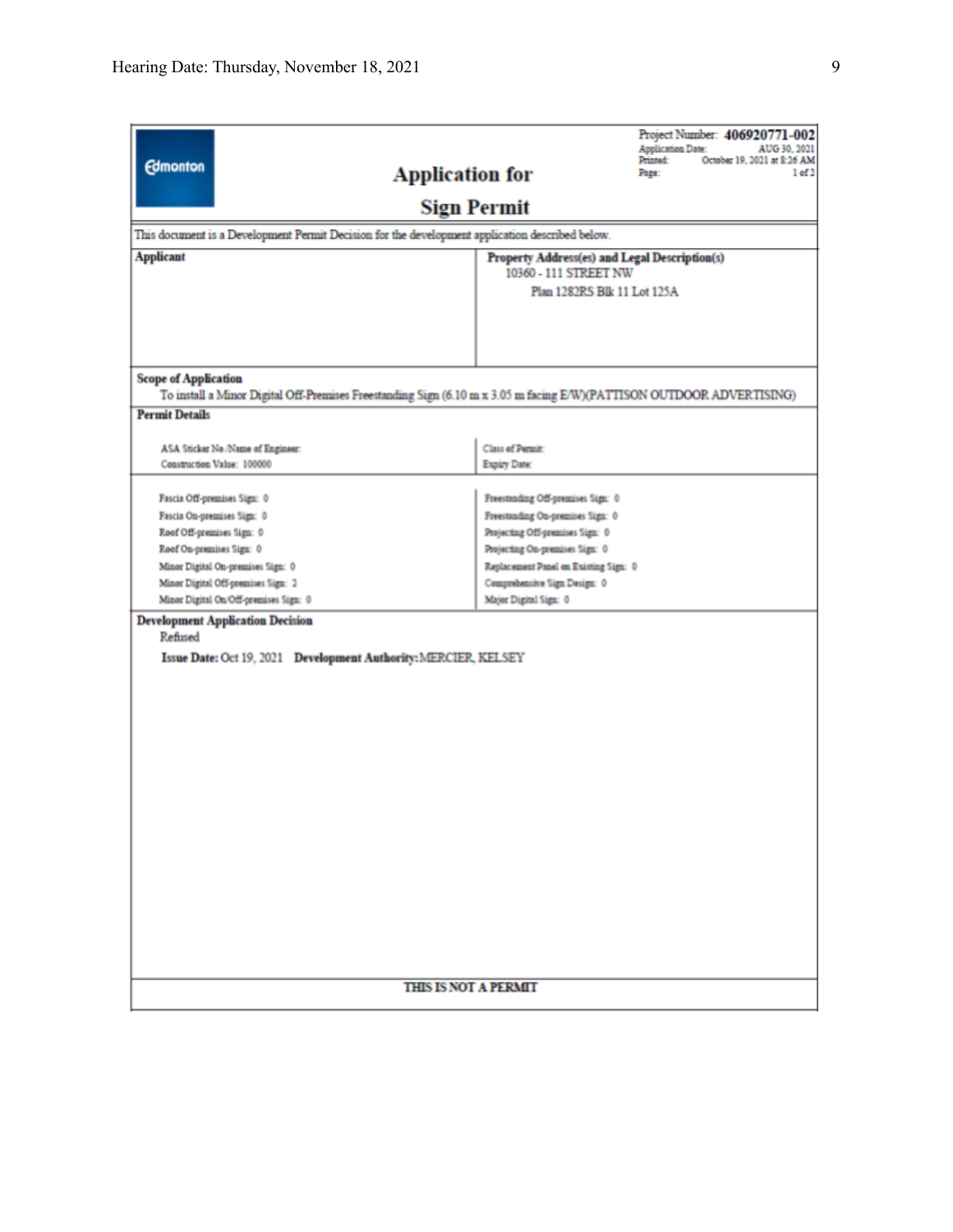|                                                                                                 |                                   | Project Number: 406920771-002<br><b>Application Date:</b><br>AUG 30, 2021<br>Printed:<br>October 19, 2021 at 8:26 AM |  |  |  |  |  |
|-------------------------------------------------------------------------------------------------|-----------------------------------|----------------------------------------------------------------------------------------------------------------------|--|--|--|--|--|
| <b>Edmonton</b>                                                                                 | <b>Application for</b>            | Page:<br>1 of 2                                                                                                      |  |  |  |  |  |
|                                                                                                 | <b>Sign Permit</b>                |                                                                                                                      |  |  |  |  |  |
| This document is a Development Permit Decision for the development application described below. |                                   |                                                                                                                      |  |  |  |  |  |
| <b>Applicant</b>                                                                                |                                   | Property Address(es) and Legal Description(s)<br>10360 - 111 STREET NW                                               |  |  |  |  |  |
|                                                                                                 |                                   | Plan 1282RS Blk 11 Lot 125A                                                                                          |  |  |  |  |  |
|                                                                                                 |                                   |                                                                                                                      |  |  |  |  |  |
|                                                                                                 |                                   |                                                                                                                      |  |  |  |  |  |
|                                                                                                 |                                   |                                                                                                                      |  |  |  |  |  |
| <b>Scope of Application</b>                                                                     |                                   | To install a Minor Digital Off-Premises Freestanding Sign (6.10 m x 3.05 m facing E/W)(PATTISON OUTDOOR ADVERTISING) |  |  |  |  |  |
| <b>Permit Details</b>                                                                           |                                   |                                                                                                                      |  |  |  |  |  |
|                                                                                                 |                                   |                                                                                                                      |  |  |  |  |  |
| ASA Sticker No./Name of Engineer:<br>Construction Value: 100000                                 | Class of Permit:<br>Expiry Date:  |                                                                                                                      |  |  |  |  |  |
|                                                                                                 |                                   |                                                                                                                      |  |  |  |  |  |
| Fascia Off-premises Sign: 0                                                                     | Freestanding Off-premises Sign: 0 |                                                                                                                      |  |  |  |  |  |
| Fascia On-premises Sign: 0                                                                      | Freestanding On-premises Sign: 0  |                                                                                                                      |  |  |  |  |  |
| Roof Off-premises Sign: 0                                                                       | Projecting Off-premises Sign: 0   |                                                                                                                      |  |  |  |  |  |
| Roof On-premises Sign: 0                                                                        | Projecting On-premises Sign: 0    | Replacement Panel on Existing Sign: 0                                                                                |  |  |  |  |  |
| Minor Digital On-premises Sign: 0<br>Minor Digital Off-premises Sign: 2                         | Comprehensive Sign Design: 0      |                                                                                                                      |  |  |  |  |  |
| Minor Digital On/Off-premises Sign: 0                                                           | Major Digital Sign: 0             |                                                                                                                      |  |  |  |  |  |
| <b>Development Application Decision</b>                                                         |                                   |                                                                                                                      |  |  |  |  |  |
| Refused                                                                                         |                                   |                                                                                                                      |  |  |  |  |  |
| Issue Date: Oct 19, 2021 Development Authority: MERCIER, KELSEY                                 |                                   |                                                                                                                      |  |  |  |  |  |
|                                                                                                 |                                   |                                                                                                                      |  |  |  |  |  |
|                                                                                                 |                                   |                                                                                                                      |  |  |  |  |  |
|                                                                                                 |                                   |                                                                                                                      |  |  |  |  |  |
|                                                                                                 |                                   |                                                                                                                      |  |  |  |  |  |
|                                                                                                 |                                   |                                                                                                                      |  |  |  |  |  |
|                                                                                                 |                                   |                                                                                                                      |  |  |  |  |  |
|                                                                                                 |                                   |                                                                                                                      |  |  |  |  |  |
|                                                                                                 |                                   |                                                                                                                      |  |  |  |  |  |
|                                                                                                 |                                   |                                                                                                                      |  |  |  |  |  |
|                                                                                                 |                                   |                                                                                                                      |  |  |  |  |  |
|                                                                                                 |                                   |                                                                                                                      |  |  |  |  |  |
|                                                                                                 |                                   |                                                                                                                      |  |  |  |  |  |
|                                                                                                 |                                   |                                                                                                                      |  |  |  |  |  |
|                                                                                                 |                                   |                                                                                                                      |  |  |  |  |  |
|                                                                                                 |                                   |                                                                                                                      |  |  |  |  |  |
|                                                                                                 |                                   |                                                                                                                      |  |  |  |  |  |
|                                                                                                 | <b>THIS IS NOT A PERMIT</b>       |                                                                                                                      |  |  |  |  |  |
|                                                                                                 |                                   |                                                                                                                      |  |  |  |  |  |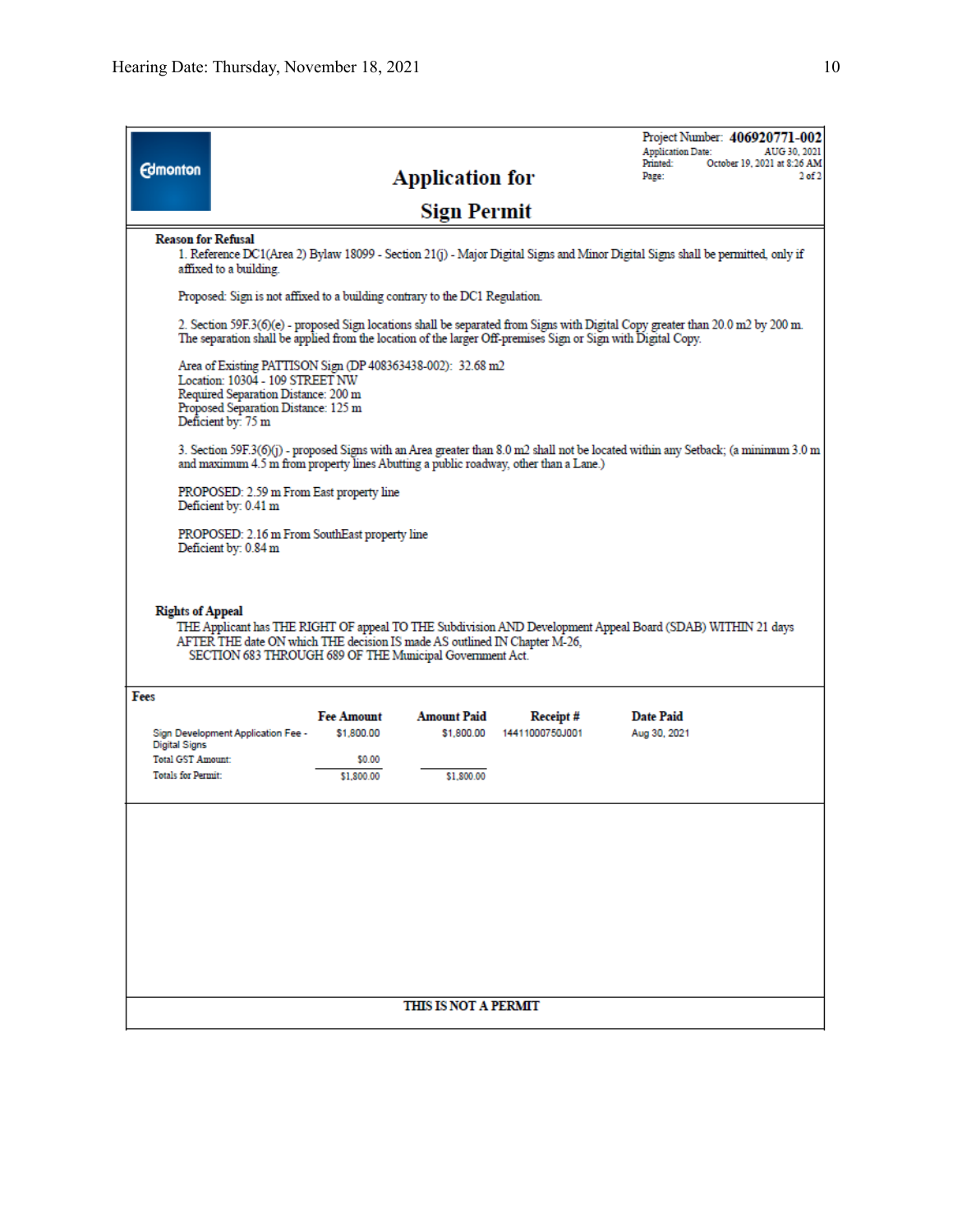|                                                  |                                                                                                                                                                                                    |                                 |                                  |                                                                                                              | Project Number: 406920771-002<br><b>Application Date:</b><br>AUG 30, 2021                                                          |
|--------------------------------------------------|----------------------------------------------------------------------------------------------------------------------------------------------------------------------------------------------------|---------------------------------|----------------------------------|--------------------------------------------------------------------------------------------------------------|------------------------------------------------------------------------------------------------------------------------------------|
| <b>Edmonton</b>                                  |                                                                                                                                                                                                    |                                 | <b>Application for</b>           |                                                                                                              | October 19, 2021 at 8:26 AM<br>Printed:<br>$2$ of $2$<br>Page:                                                                     |
|                                                  |                                                                                                                                                                                                    |                                 | <b>Sign Permit</b>               |                                                                                                              |                                                                                                                                    |
| <b>Reason for Refusal</b>                        | affixed to a building.                                                                                                                                                                             |                                 |                                  |                                                                                                              | 1. Reference DC1(Area 2) Bylaw 18099 - Section 21(j) - Major Digital Signs and Minor Digital Signs shall be permitted, only if     |
|                                                  | Proposed: Sign is not affixed to a building contrary to the DC1 Regulation.                                                                                                                        |                                 |                                  |                                                                                                              |                                                                                                                                    |
|                                                  |                                                                                                                                                                                                    |                                 |                                  | The separation shall be applied from the location of the larger Off-premises Sign or Sign with Digital Copy. | 2. Section 59F.3(6)(e) - proposed Sign locations shall be separated from Signs with Digital Copy greater than 20.0 m2 by 200 m.    |
|                                                  | Area of Existing PATTISON Sign (DP 408363438-002): 32.68 m2<br>Location: 10304 - 109 STREET NW<br>Required Separation Distance: 200 m<br>Proposed Separation Distance: 125 m<br>Deficient by: 75 m |                                 |                                  |                                                                                                              |                                                                                                                                    |
|                                                  |                                                                                                                                                                                                    |                                 |                                  | and maximum 4.5 m from property lines Abutting a public roadway, other than a Lane.)                         | 3. Section 59F.3(6)(j) - proposed Signs with an Area greater than 8.0 m2 shall not be located within any Setback; (a minimum 3.0 m |
|                                                  | PROPOSED: 2.59 m From East property line<br>Deficient by: 0.41 m                                                                                                                                   |                                 |                                  |                                                                                                              |                                                                                                                                    |
|                                                  | PROPOSED: 2.16 m From SouthEast property line<br>Deficient by: 0.84 m                                                                                                                              |                                 |                                  |                                                                                                              |                                                                                                                                    |
| <b>Rights of Appeal</b>                          | AFTER THE date ON which THE decision IS made AS outlined IN Chapter M-26,<br>SECTION 683 THROUGH 689 OF THE Municipal Government Act.                                                              |                                 |                                  |                                                                                                              | THE Applicant has THE RIGHT OF appeal TO THE Subdivision AND Development Appeal Board (SDAB) WITHIN 21 days                        |
| Fees                                             |                                                                                                                                                                                                    |                                 |                                  |                                                                                                              |                                                                                                                                    |
|                                                  | Sign Development Application Fee -                                                                                                                                                                 | <b>Fee Amount</b><br>\$1,800.00 | <b>Amount Paid</b><br>\$1,800.00 | Receipt#<br>14411000750J001                                                                                  | <b>Date Paid</b><br>Aug 30, 2021                                                                                                   |
| <b>Digital Signs</b><br><b>Total GST Amount:</b> |                                                                                                                                                                                                    | \$0.00                          |                                  |                                                                                                              |                                                                                                                                    |
| <b>Totals for Permit:</b>                        |                                                                                                                                                                                                    | \$1,800.00                      | \$1,800.00                       |                                                                                                              |                                                                                                                                    |
|                                                  |                                                                                                                                                                                                    |                                 |                                  |                                                                                                              |                                                                                                                                    |
|                                                  |                                                                                                                                                                                                    |                                 | THIS IS NOT A PERMIT             |                                                                                                              |                                                                                                                                    |
|                                                  |                                                                                                                                                                                                    |                                 |                                  |                                                                                                              |                                                                                                                                    |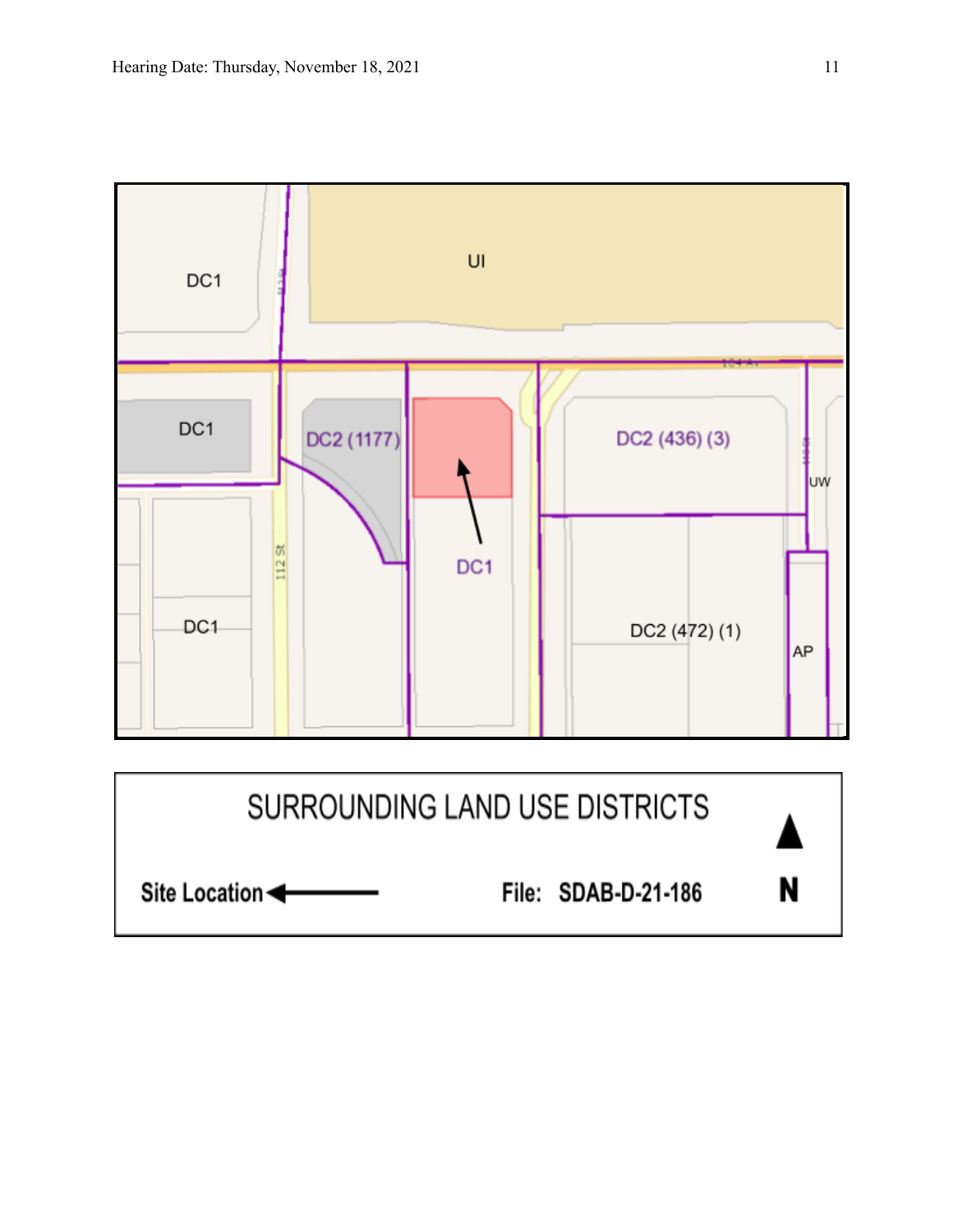

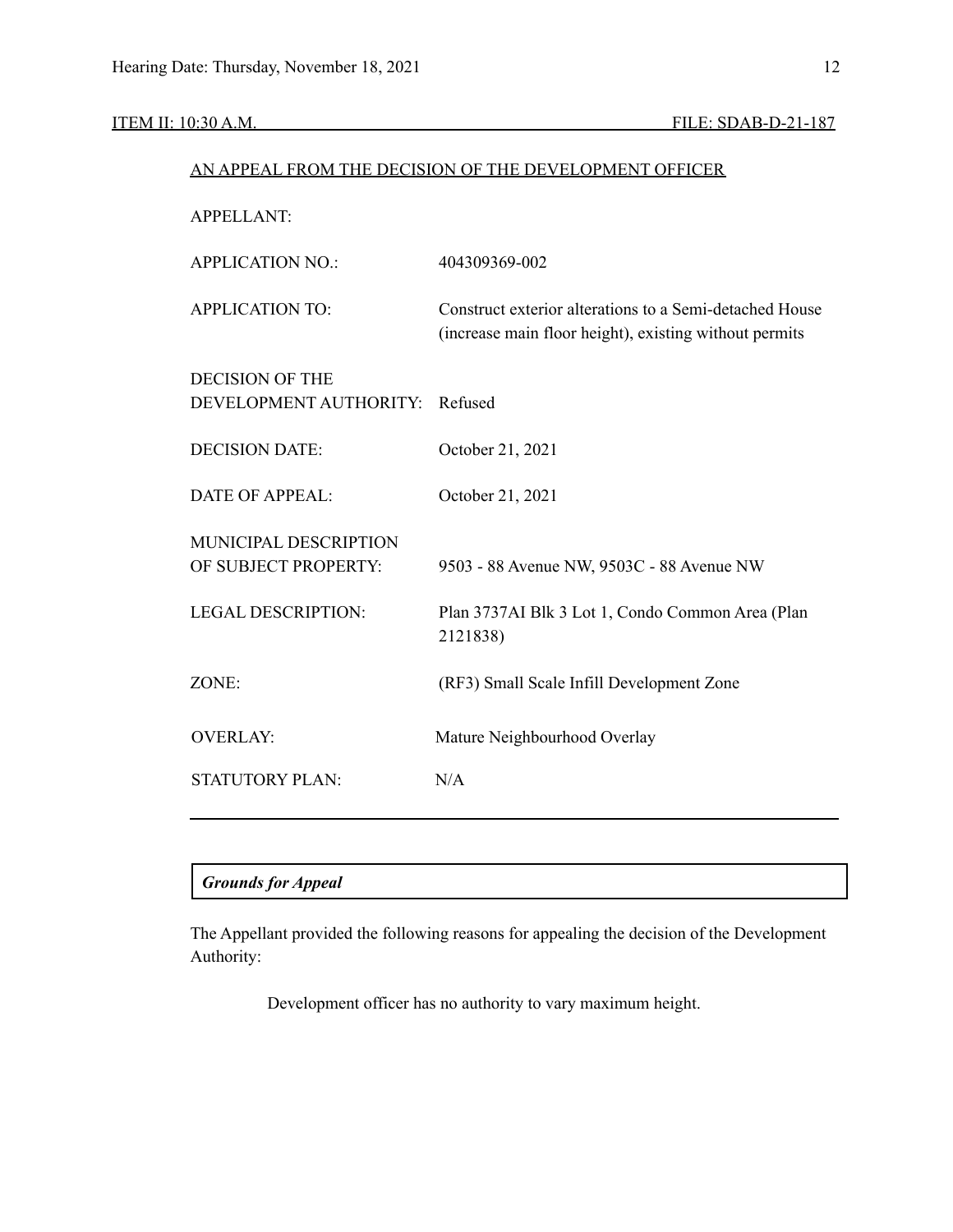#### ITEM II: 10:30 A.M. FILE: SDAB-D-21-187

# AN APPEAL FROM THE DECISION OF THE DEVELOPMENT OFFICER APPELLANT: APPLICATION NO.: 404309369-002 APPLICATION TO: Construct exterior alterations to a Semi-detached House (increase main floor height), existing without permits DECISION OF THE DEVELOPMENT AUTHORITY: Refused DECISION DATE: October 21, 2021 DATE OF APPEAL: October 21, 2021 MUNICIPAL DESCRIPTION OF SUBJECT PROPERTY: 9503 - 88 Avenue NW, 9503C - 88 Avenue NW LEGAL DESCRIPTION: Plan 3737AI Blk 3 Lot 1, Condo Common Area (Plan 2121838) ZONE: (RF3) Small Scale Infill Development Zone OVERLAY: Mature Neighbourhood Overlay STATUTORY PLAN: N/A

## *Grounds for Appeal*

The Appellant provided the following reasons for appealing the decision of the Development Authority:

Development officer has no authority to vary maximum height.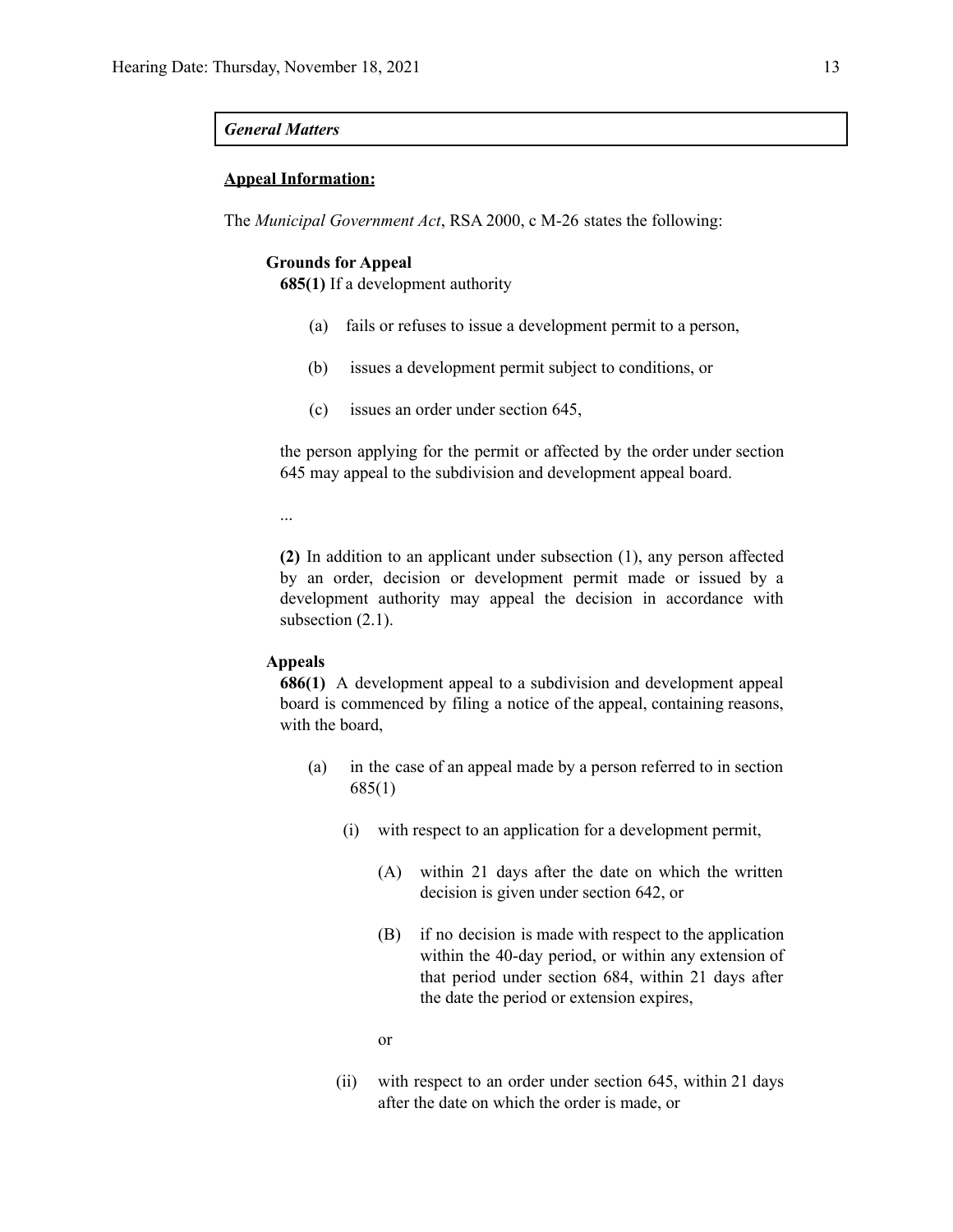#### *General Matters*

#### **Appeal Information:**

The *Municipal Government Act*, RSA 2000, c M-26 states the following:

#### **Grounds for Appeal**

**685(1)** If a development authority

- (a) fails or refuses to issue a development permit to a person,
- (b) issues a development permit subject to conditions, or
- (c) issues an order under section 645,

the person applying for the permit or affected by the order under section 645 may appeal to the subdivision and development appeal board.

...

**(2)** In addition to an applicant under subsection (1), any person affected by an order, decision or development permit made or issued by a development authority may appeal the decision in accordance with subsection  $(2.1)$ .

#### **Appeals**

**686(1)** A development appeal to a subdivision and development appeal board is commenced by filing a notice of the appeal, containing reasons, with the board,

- (a) in the case of an appeal made by a person referred to in section 685(1)
	- (i) with respect to an application for a development permit,
		- (A) within 21 days after the date on which the written decision is given under section 642, or
		- (B) if no decision is made with respect to the application within the 40-day period, or within any extension of that period under section 684, within 21 days after the date the period or extension expires,

or

(ii) with respect to an order under section 645, within 21 days after the date on which the order is made, or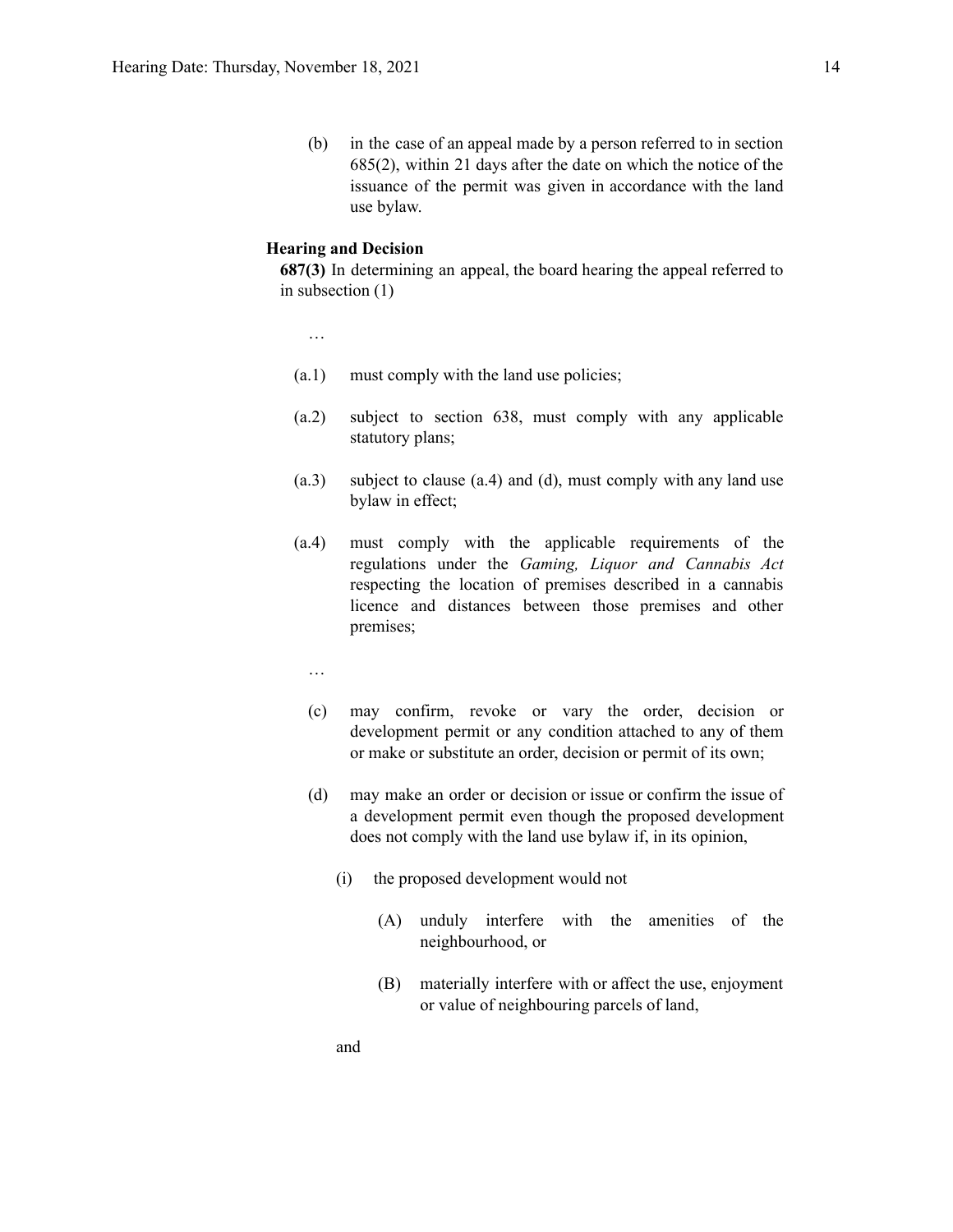(b) in the case of an appeal made by a person referred to in section 685(2), within 21 days after the date on which the notice of the issuance of the permit was given in accordance with the land use bylaw.

#### **Hearing and Decision**

**687(3)** In determining an appeal, the board hearing the appeal referred to in subsection (1)

…

- (a.1) must comply with the land use policies;
- (a.2) subject to section 638, must comply with any applicable statutory plans;
- (a.3) subject to clause (a.4) and (d), must comply with any land use bylaw in effect;
- (a.4) must comply with the applicable requirements of the regulations under the *Gaming, Liquor and Cannabis Act* respecting the location of premises described in a cannabis licence and distances between those premises and other premises;
	- …
	- (c) may confirm, revoke or vary the order, decision or development permit or any condition attached to any of them or make or substitute an order, decision or permit of its own;
	- (d) may make an order or decision or issue or confirm the issue of a development permit even though the proposed development does not comply with the land use bylaw if, in its opinion,
		- (i) the proposed development would not
			- (A) unduly interfere with the amenities of the neighbourhood, or
			- (B) materially interfere with or affect the use, enjoyment or value of neighbouring parcels of land,

and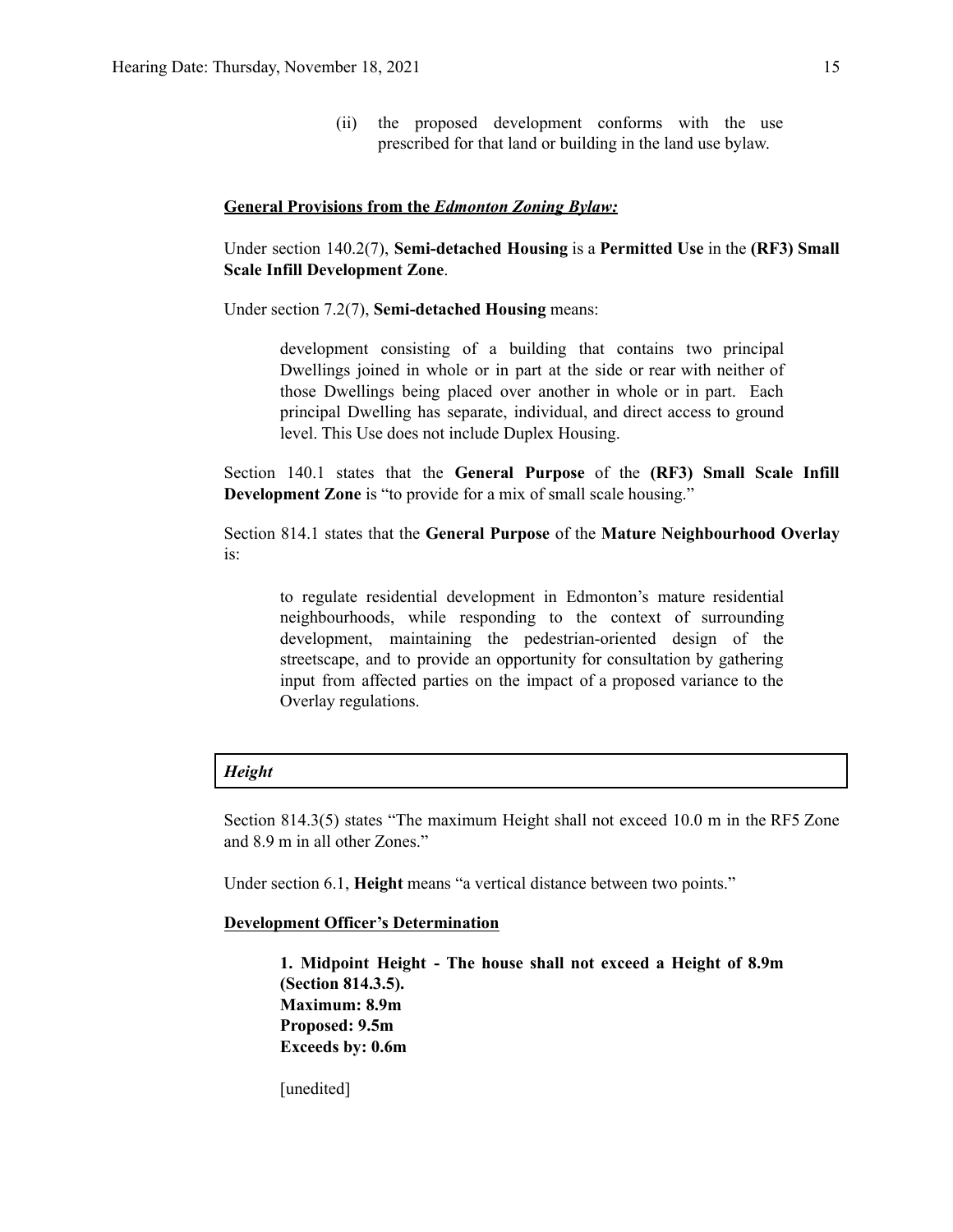(ii) the proposed development conforms with the use prescribed for that land or building in the land use bylaw.

#### **General Provisions from the** *Edmonton Zoning Bylaw:*

Under section 140.2(7), **Semi-detached Housing** is a **Permitted Use** in the **(RF3) Small Scale Infill Development Zone**.

Under section 7.2(7), **Semi-detached Housing** means:

development consisting of a building that contains two principal Dwellings joined in whole or in part at the side or rear with neither of those Dwellings being placed over another in whole or in part. Each principal Dwelling has separate, individual, and direct access to ground level. This Use does not include Duplex Housing.

Section 140.1 states that the **General Purpose** of the **(RF3) Small Scale Infill Development Zone** is "to provide for a mix of small scale housing."

Section 814.1 states that the **General Purpose** of the **Mature Neighbourhood Overlay** is:

to regulate residential development in Edmonton's mature residential neighbourhoods, while responding to the context of surrounding development, maintaining the pedestrian-oriented design of the streetscape, and to provide an opportunity for consultation by gathering input from affected parties on the impact of a proposed variance to the Overlay regulations.

#### *Height*

Section 814.3(5) states "The maximum Height shall not exceed 10.0 m in the RF5 Zone and 8.9 m in all other Zones."

Under section 6.1, **Height** means "a vertical distance between two points."

#### **Development Officer's Determination**

**1. Midpoint Height - The house shall not exceed a Height of 8.9m (Section 814.3.5). Maximum: 8.9m Proposed: 9.5m Exceeds by: 0.6m**

[unedited]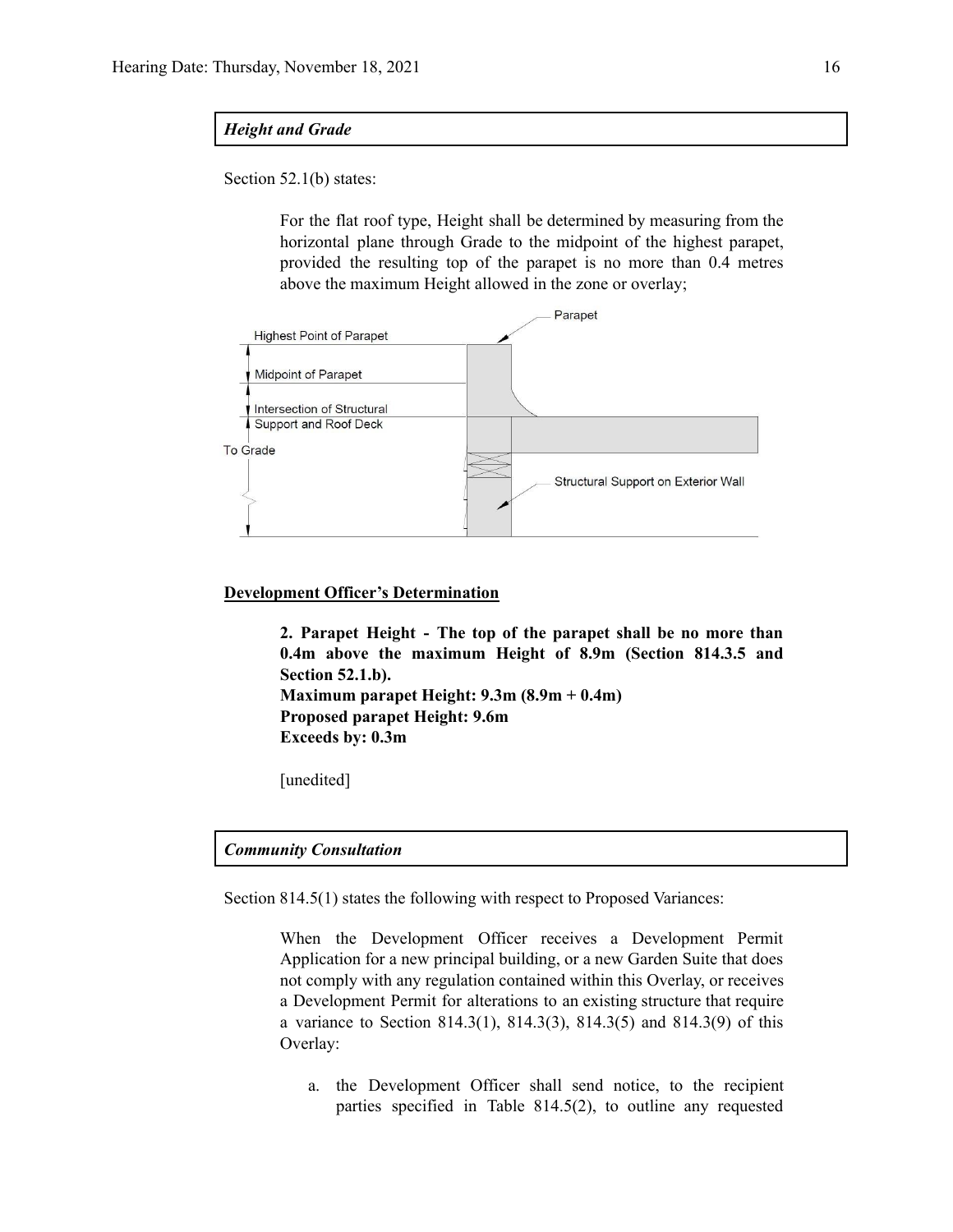#### *Height and Grade*

Section 52.1(b) states:

For the flat roof type, Height shall be determined by measuring from the horizontal plane through Grade to the midpoint of the highest parapet, provided the resulting top of the parapet is no more than 0.4 metres above the maximum Height allowed in the zone or overlay;



#### **Development Officer's Determination**

**2. Parapet Height - The top of the parapet shall be no more than 0.4m above the maximum Height of 8.9m (Section 814.3.5 and Section 52.1.b). Maximum parapet Height: 9.3m (8.9m + 0.4m) Proposed parapet Height: 9.6m Exceeds by: 0.3m**

[unedited]

#### *Community Consultation*

Section 814.5(1) states the following with respect to Proposed Variances:

When the Development Officer receives a Development Permit Application for a new principal building, or a new Garden Suite that does not comply with any regulation contained within this Overlay, or receives a Development Permit for alterations to an existing structure that require a variance to Section 814.3(1), 814.3(3), 814.3(5) and 814.3(9) of this Overlay:

a. the Development Officer shall send notice, to the recipient parties specified in Table 814.5(2), to outline any requested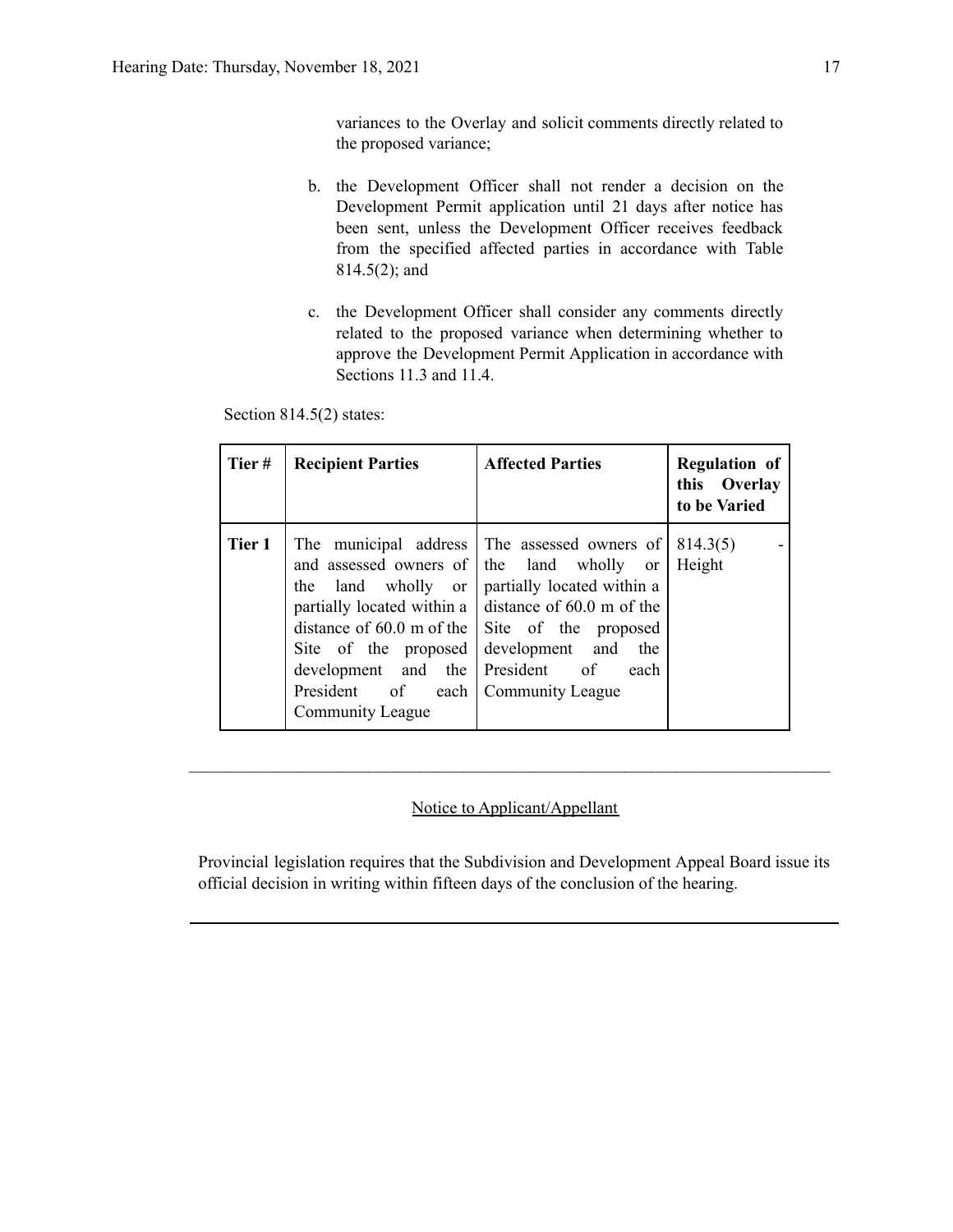variances to the Overlay and solicit comments directly related to the proposed variance;

- b. the Development Officer shall not render a decision on the Development Permit application until 21 days after notice has been sent, unless the Development Officer receives feedback from the specified affected parties in accordance with Table 814.5(2); and
- c. the Development Officer shall consider any comments directly related to the proposed variance when determining whether to approve the Development Permit Application in accordance with Sections 11.3 and 11.4.

Section 814.5(2) states:

| Tier#  | <b>Recipient Parties</b>                                                                                                                                                                                 | <b>Affected Parties</b>                                                                                                                                                                                                            | <b>Regulation of</b><br>this Overlay<br>to be Varied |
|--------|----------------------------------------------------------------------------------------------------------------------------------------------------------------------------------------------------------|------------------------------------------------------------------------------------------------------------------------------------------------------------------------------------------------------------------------------------|------------------------------------------------------|
| Tier 1 | and assessed owners of  <br>land wholly or<br>the<br>partially located within a<br>distance of $60.0$ m of the<br>Site of the proposed<br>development and the<br>President of<br><b>Community League</b> | The municipal address The assessed owners of<br>the land wholly or<br>partially located within a<br>distance of 60.0 m of the<br>Site of the proposed<br>development and<br>the<br>President of<br>each<br>each   Community League | 814.3(5)<br>Height                                   |

#### Notice to Applicant/Appellant

 $\mathcal{L}_\text{max} = \frac{1}{2} \sum_{i=1}^n \mathcal{L}_\text{max} = \frac{1}{2} \sum_{i=1}^n \mathcal{L}_\text{max} = \frac{1}{2} \sum_{i=1}^n \mathcal{L}_\text{max} = \frac{1}{2} \sum_{i=1}^n \mathcal{L}_\text{max} = \frac{1}{2} \sum_{i=1}^n \mathcal{L}_\text{max} = \frac{1}{2} \sum_{i=1}^n \mathcal{L}_\text{max} = \frac{1}{2} \sum_{i=1}^n \mathcal{L}_\text{max} = \frac{1}{2} \sum_{i=$ 

Provincial legislation requires that the Subdivision and Development Appeal Board issue its official decision in writing within fifteen days of the conclusion of the hearing.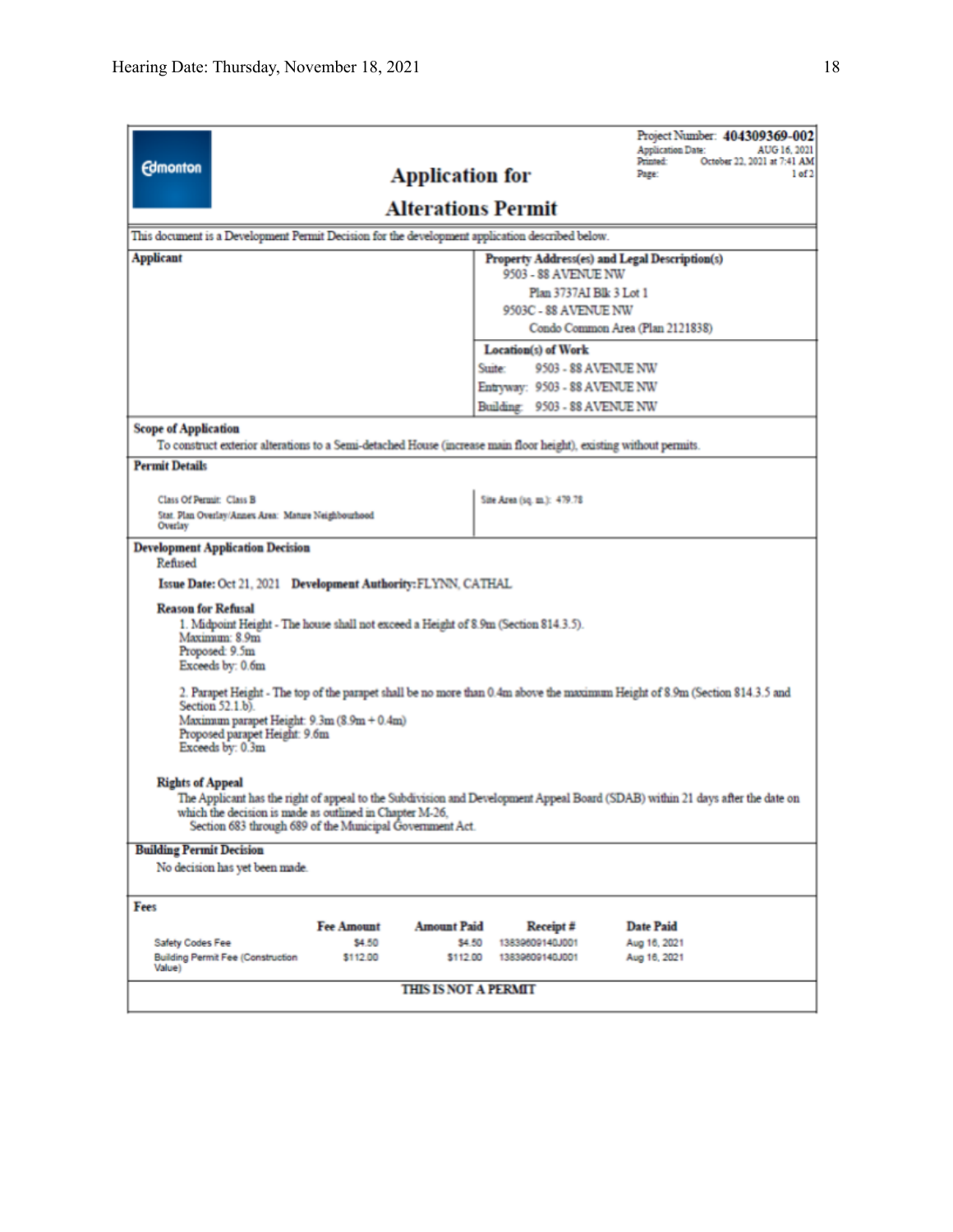| <b>Edmonton</b>                                                                                                                                                                                                                                                                 |                                                                                                                    | <b>Application for</b>      |                               | Project Number: 404309369-002<br><b>Application Date:</b><br>AUG 16, 2021<br>October 22, 2021 at 7:41 AM<br>Printed:<br>1 of 2<br>Page: |  |  |  |
|---------------------------------------------------------------------------------------------------------------------------------------------------------------------------------------------------------------------------------------------------------------------------------|--------------------------------------------------------------------------------------------------------------------|-----------------------------|-------------------------------|-----------------------------------------------------------------------------------------------------------------------------------------|--|--|--|
| <b>Alterations Permit</b>                                                                                                                                                                                                                                                       |                                                                                                                    |                             |                               |                                                                                                                                         |  |  |  |
| This document is a Development Permit Decision for the development application described below.                                                                                                                                                                                 |                                                                                                                    |                             |                               |                                                                                                                                         |  |  |  |
| <b>Applicant</b>                                                                                                                                                                                                                                                                |                                                                                                                    |                             |                               | Property Address(es) and Legal Description(s)                                                                                           |  |  |  |
|                                                                                                                                                                                                                                                                                 |                                                                                                                    |                             | 9503 - 88 AVENUE NW           |                                                                                                                                         |  |  |  |
| Plan 3737AI Blk 3 Lot 1<br>9503C - 88 AVENUE NW                                                                                                                                                                                                                                 |                                                                                                                    |                             |                               |                                                                                                                                         |  |  |  |
|                                                                                                                                                                                                                                                                                 |                                                                                                                    |                             |                               | Condo Common Area (Plan 2121838)                                                                                                        |  |  |  |
|                                                                                                                                                                                                                                                                                 |                                                                                                                    |                             | <b>Location(s)</b> of Work    |                                                                                                                                         |  |  |  |
|                                                                                                                                                                                                                                                                                 |                                                                                                                    |                             | Suite:<br>9503 - 88 AVENUE NW |                                                                                                                                         |  |  |  |
|                                                                                                                                                                                                                                                                                 |                                                                                                                    |                             | Entryway: 9503 - 88 AVENUE NW |                                                                                                                                         |  |  |  |
|                                                                                                                                                                                                                                                                                 |                                                                                                                    |                             | Building: 9503 - 88 AVENUE NW |                                                                                                                                         |  |  |  |
| <b>Scope of Application</b>                                                                                                                                                                                                                                                     | To construct exterior alterations to a Semi-detached House (increase main floor height), existing without permits. |                             |                               |                                                                                                                                         |  |  |  |
| <b>Permit Details</b>                                                                                                                                                                                                                                                           |                                                                                                                    |                             |                               |                                                                                                                                         |  |  |  |
|                                                                                                                                                                                                                                                                                 |                                                                                                                    |                             |                               |                                                                                                                                         |  |  |  |
| Class Of Permit: Class B                                                                                                                                                                                                                                                        |                                                                                                                    |                             | Site Area (sq. m.): 479.78    |                                                                                                                                         |  |  |  |
| Overlay                                                                                                                                                                                                                                                                         | Stat. Plan Overlay/Annex Area: Mature Neighbourhood                                                                |                             |                               |                                                                                                                                         |  |  |  |
| <b>Development Application Decision</b><br>Refused<br>Issue Date: Oct 21, 2021 Development Authority: FLYNN, CATHAL                                                                                                                                                             |                                                                                                                    |                             |                               |                                                                                                                                         |  |  |  |
| <b>Reason for Refusal</b><br>1. Midpoint Height - The house shall not exceed a Height of 8.9m (Section 814.3.5).<br>Maximum: 8.9m<br>Proposed: 9.5m<br>Exceeds by: 0.6m                                                                                                         |                                                                                                                    |                             |                               |                                                                                                                                         |  |  |  |
| 2. Parapet Height - The top of the parapet shall be no more than 0.4m above the maximum Height of 8.9m (Section 814.3.5 and<br>Section 52.1.b).<br>Maximum parapet Height: 9.3m (8.9m + 0.4m)<br>Proposed parapet Height: 9.6m<br>Exceeds by: 0.3m                              |                                                                                                                    |                             |                               |                                                                                                                                         |  |  |  |
| <b>Rights of Appeal</b><br>The Applicant has the right of appeal to the Subdivision and Development Appeal Board (SDAB) within 21 days after the date on<br>which the decision is made as outlined in Chapter M-26,<br>Section 683 through 689 of the Municipal Government Act. |                                                                                                                    |                             |                               |                                                                                                                                         |  |  |  |
| <b>Building Permit Decision</b>                                                                                                                                                                                                                                                 |                                                                                                                    |                             |                               |                                                                                                                                         |  |  |  |
| No decision has yet been made.                                                                                                                                                                                                                                                  |                                                                                                                    |                             |                               |                                                                                                                                         |  |  |  |
| Fees                                                                                                                                                                                                                                                                            |                                                                                                                    |                             |                               |                                                                                                                                         |  |  |  |
|                                                                                                                                                                                                                                                                                 | <b>Fee Amount</b>                                                                                                  | <b>Amount Paid</b>          | Receipt #                     | <b>Date Paid</b>                                                                                                                        |  |  |  |
| Safety Codes Fee                                                                                                                                                                                                                                                                | \$4.50                                                                                                             | \$4.50                      | 13839609140J001               | Aug 16, 2021                                                                                                                            |  |  |  |
| <b>Building Permit Fee (Construction</b><br>Value)                                                                                                                                                                                                                              | \$112.00                                                                                                           | \$112.00                    | 13839609140J001               | Aug 16, 2021                                                                                                                            |  |  |  |
|                                                                                                                                                                                                                                                                                 |                                                                                                                    | <b>THIS IS NOT A PERMIT</b> |                               |                                                                                                                                         |  |  |  |
|                                                                                                                                                                                                                                                                                 |                                                                                                                    |                             |                               |                                                                                                                                         |  |  |  |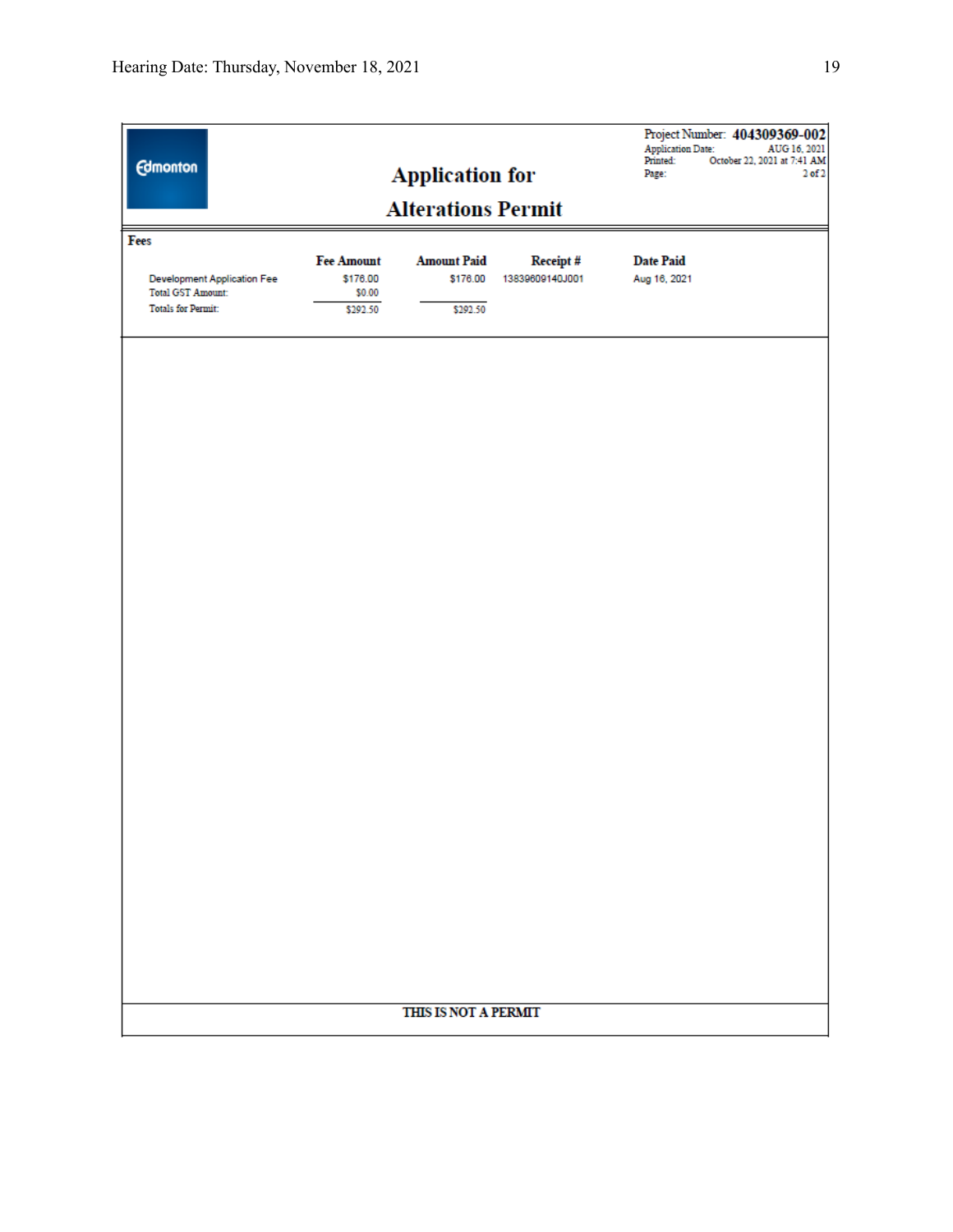| <b>Edmonton</b><br><b>Application for</b><br><b>Alterations Permit</b> |                   |                      |                 | <b>Application Date:</b><br>Printed:<br>Page: | Project Number: 404309369-002<br>AUG 16, 2021<br>October 22, 2021 at 7:41 AM<br>2 of 2 |
|------------------------------------------------------------------------|-------------------|----------------------|-----------------|-----------------------------------------------|----------------------------------------------------------------------------------------|
| Fees                                                                   |                   |                      |                 |                                               |                                                                                        |
|                                                                        | <b>Fee Amount</b> | <b>Amount Paid</b>   | Receipt#        | <b>Date Paid</b>                              |                                                                                        |
| <b>Development Application Fee</b>                                     | \$176.00          | \$176.00             | 13839609140J001 | Aug 16, 2021                                  |                                                                                        |
| <b>Total GST Amount:</b>                                               | \$0.00            |                      |                 |                                               |                                                                                        |
| <b>Totals for Permit:</b>                                              | \$292.50          | \$292.50             |                 |                                               |                                                                                        |
|                                                                        |                   |                      |                 |                                               |                                                                                        |
|                                                                        |                   | THIS IS NOT A PERMIT |                 |                                               |                                                                                        |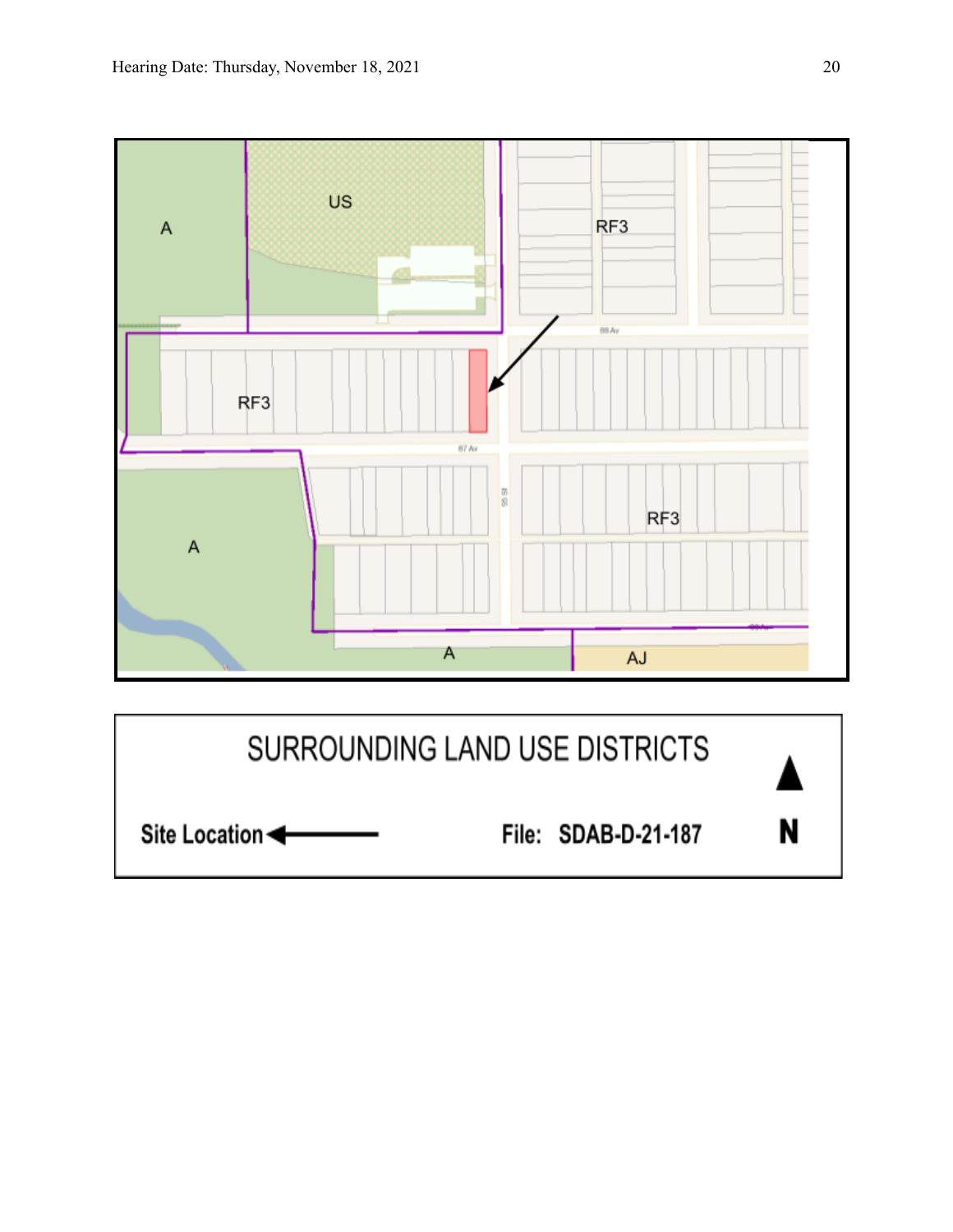

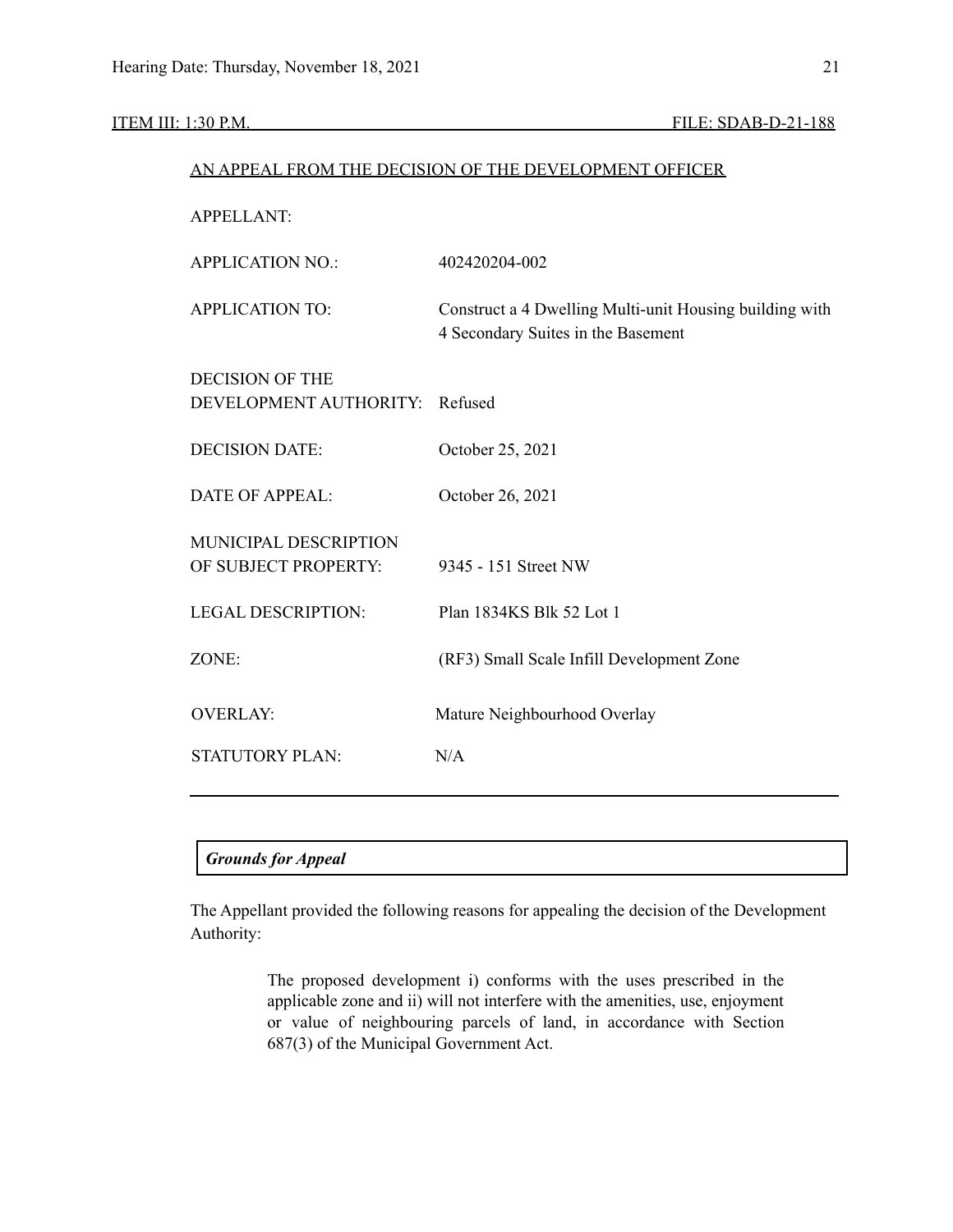|                                                  | AN APPEAL FROM THE DECISION OF THE DEVELOPMENT OFFICER                                        |
|--------------------------------------------------|-----------------------------------------------------------------------------------------------|
| <b>APPELLANT:</b>                                |                                                                                               |
| <b>APPLICATION NO.:</b>                          | 402420204-002                                                                                 |
| <b>APPLICATION TO:</b>                           | Construct a 4 Dwelling Multi-unit Housing building with<br>4 Secondary Suites in the Basement |
| <b>DECISION OF THE</b><br>DEVELOPMENT AUTHORITY: | Refused                                                                                       |
| <b>DECISION DATE:</b>                            | October 25, 2021                                                                              |
| <b>DATE OF APPEAL:</b>                           | October 26, 2021                                                                              |
| MUNICIPAL DESCRIPTION<br>OF SUBJECT PROPERTY:    | 9345 - 151 Street NW                                                                          |
| <b>LEGAL DESCRIPTION:</b>                        | Plan 1834KS Blk 52 Lot 1                                                                      |
| ZONE:                                            | (RF3) Small Scale Infill Development Zone                                                     |
| <b>OVERLAY:</b>                                  | Mature Neighbourhood Overlay                                                                  |
| <b>STATUTORY PLAN:</b>                           | N/A                                                                                           |
|                                                  |                                                                                               |

#### *Grounds for Appeal*

The Appellant provided the following reasons for appealing the decision of the Development Authority:

> The proposed development i) conforms with the uses prescribed in the applicable zone and ii) will not interfere with the amenities, use, enjoyment or value of neighbouring parcels of land, in accordance with Section 687(3) of the Municipal Government Act.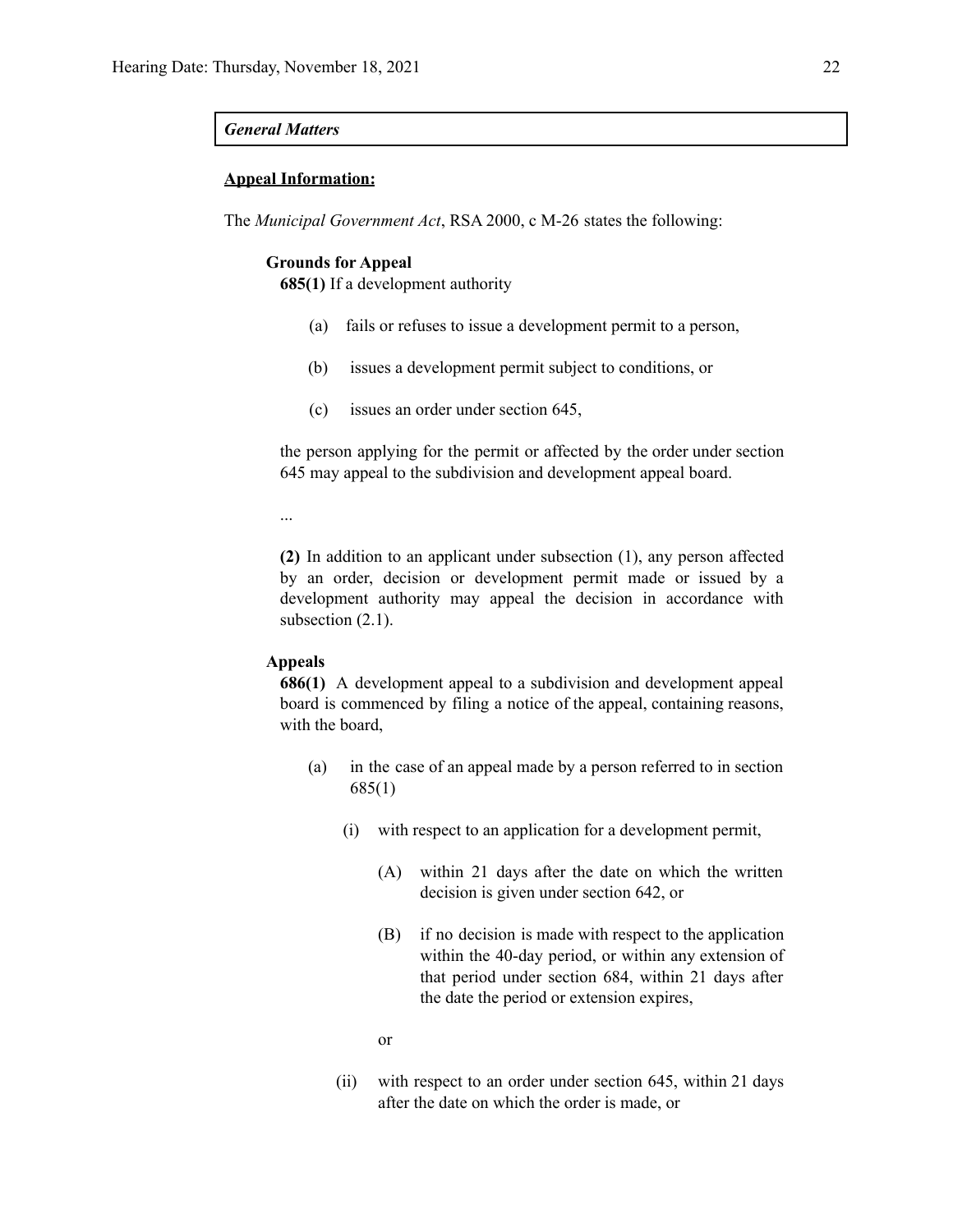#### *General Matters*

#### **Appeal Information:**

The *Municipal Government Act*, RSA 2000, c M-26 states the following:

#### **Grounds for Appeal**

**685(1)** If a development authority

- (a) fails or refuses to issue a development permit to a person,
- (b) issues a development permit subject to conditions, or
- (c) issues an order under section 645,

the person applying for the permit or affected by the order under section 645 may appeal to the subdivision and development appeal board.

...

**(2)** In addition to an applicant under subsection (1), any person affected by an order, decision or development permit made or issued by a development authority may appeal the decision in accordance with subsection  $(2.1)$ .

#### **Appeals**

**686(1)** A development appeal to a subdivision and development appeal board is commenced by filing a notice of the appeal, containing reasons, with the board,

- (a) in the case of an appeal made by a person referred to in section 685(1)
	- (i) with respect to an application for a development permit,
		- (A) within 21 days after the date on which the written decision is given under section 642, or
		- (B) if no decision is made with respect to the application within the 40-day period, or within any extension of that period under section 684, within 21 days after the date the period or extension expires,

or

(ii) with respect to an order under section 645, within 21 days after the date on which the order is made, or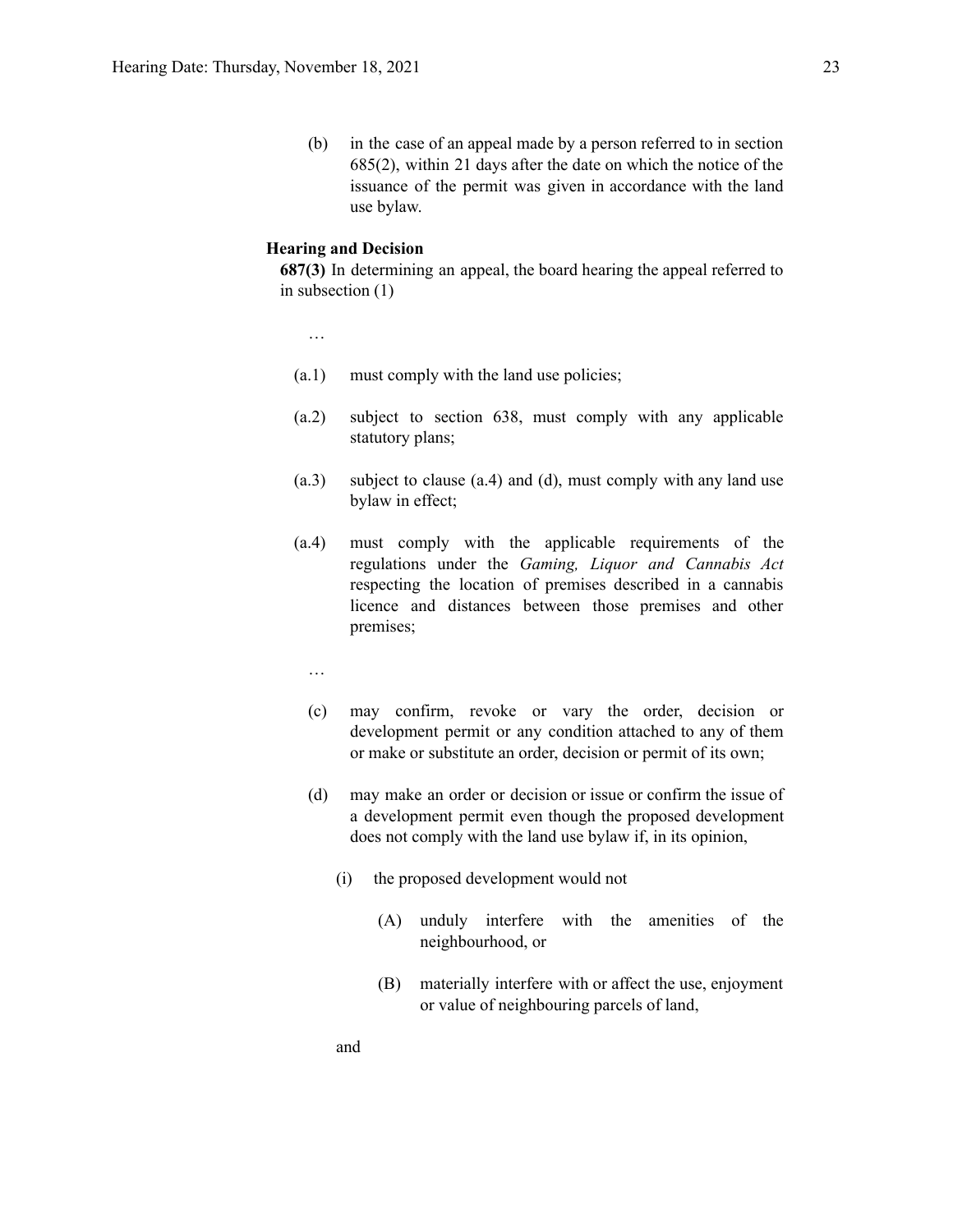(b) in the case of an appeal made by a person referred to in section 685(2), within 21 days after the date on which the notice of the issuance of the permit was given in accordance with the land use bylaw.

#### **Hearing and Decision**

**687(3)** In determining an appeal, the board hearing the appeal referred to in subsection (1)

…

- (a.1) must comply with the land use policies;
- (a.2) subject to section 638, must comply with any applicable statutory plans;
- (a.3) subject to clause (a.4) and (d), must comply with any land use bylaw in effect;
- (a.4) must comply with the applicable requirements of the regulations under the *Gaming, Liquor and Cannabis Act* respecting the location of premises described in a cannabis licence and distances between those premises and other premises;
	- …
	- (c) may confirm, revoke or vary the order, decision or development permit or any condition attached to any of them or make or substitute an order, decision or permit of its own;
	- (d) may make an order or decision or issue or confirm the issue of a development permit even though the proposed development does not comply with the land use bylaw if, in its opinion,
		- (i) the proposed development would not
			- (A) unduly interfere with the amenities of the neighbourhood, or
			- (B) materially interfere with or affect the use, enjoyment or value of neighbouring parcels of land,

and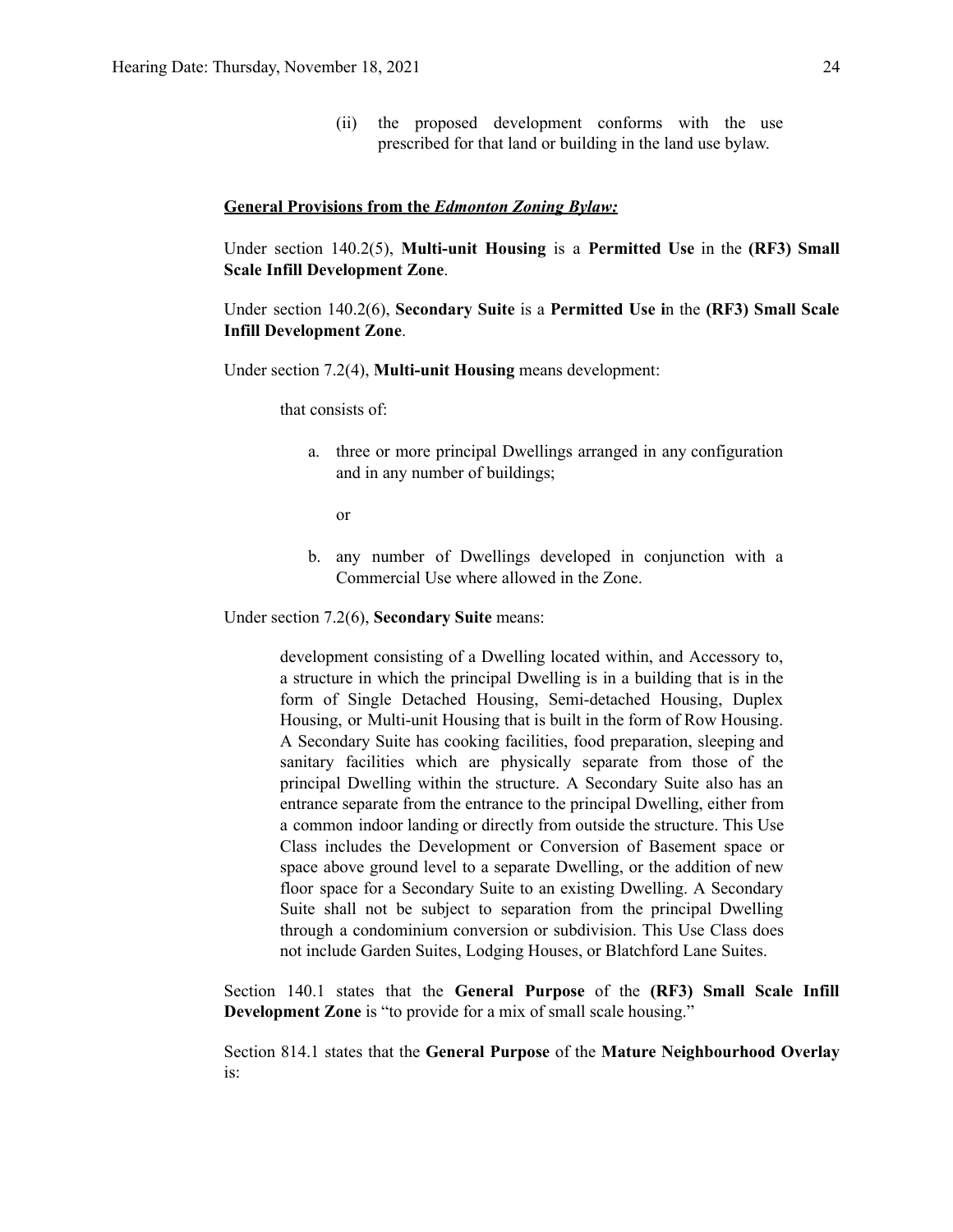(ii) the proposed development conforms with the use prescribed for that land or building in the land use bylaw.

#### **General Provisions from the** *Edmonton Zoning Bylaw:*

Under section 140.2(5), **Multi-unit Housing** is a **Permitted Use** in the **(RF3) Small Scale Infill Development Zone**.

Under section 140.2(6), **Secondary Suite** is a **Permitted Use i**n the **(RF3) Small Scale Infill Development Zone**.

Under section 7.2(4), **Multi-unit Housing** means development:

that consists of:

a. three or more principal Dwellings arranged in any configuration and in any number of buildings;

or

b. any number of Dwellings developed in conjunction with a Commercial Use where allowed in the Zone.

Under section 7.2(6), **Secondary Suite** means:

development consisting of a Dwelling located within, and Accessory to, a structure in which the principal Dwelling is in a building that is in the form of Single Detached Housing, Semi-detached Housing, Duplex Housing, or Multi-unit Housing that is built in the form of Row Housing. A Secondary Suite has cooking facilities, food preparation, sleeping and sanitary facilities which are physically separate from those of the principal Dwelling within the structure. A Secondary Suite also has an entrance separate from the entrance to the principal Dwelling, either from a common indoor landing or directly from outside the structure. This Use Class includes the Development or Conversion of Basement space or space above ground level to a separate Dwelling, or the addition of new floor space for a Secondary Suite to an existing Dwelling. A Secondary Suite shall not be subject to separation from the principal Dwelling through a condominium conversion or subdivision. This Use Class does not include Garden Suites, Lodging Houses, or Blatchford Lane Suites.

Section 140.1 states that the **General Purpose** of the **(RF3) Small Scale Infill Development Zone** is "to provide for a mix of small scale housing."

Section 814.1 states that the **General Purpose** of the **Mature Neighbourhood Overlay** is: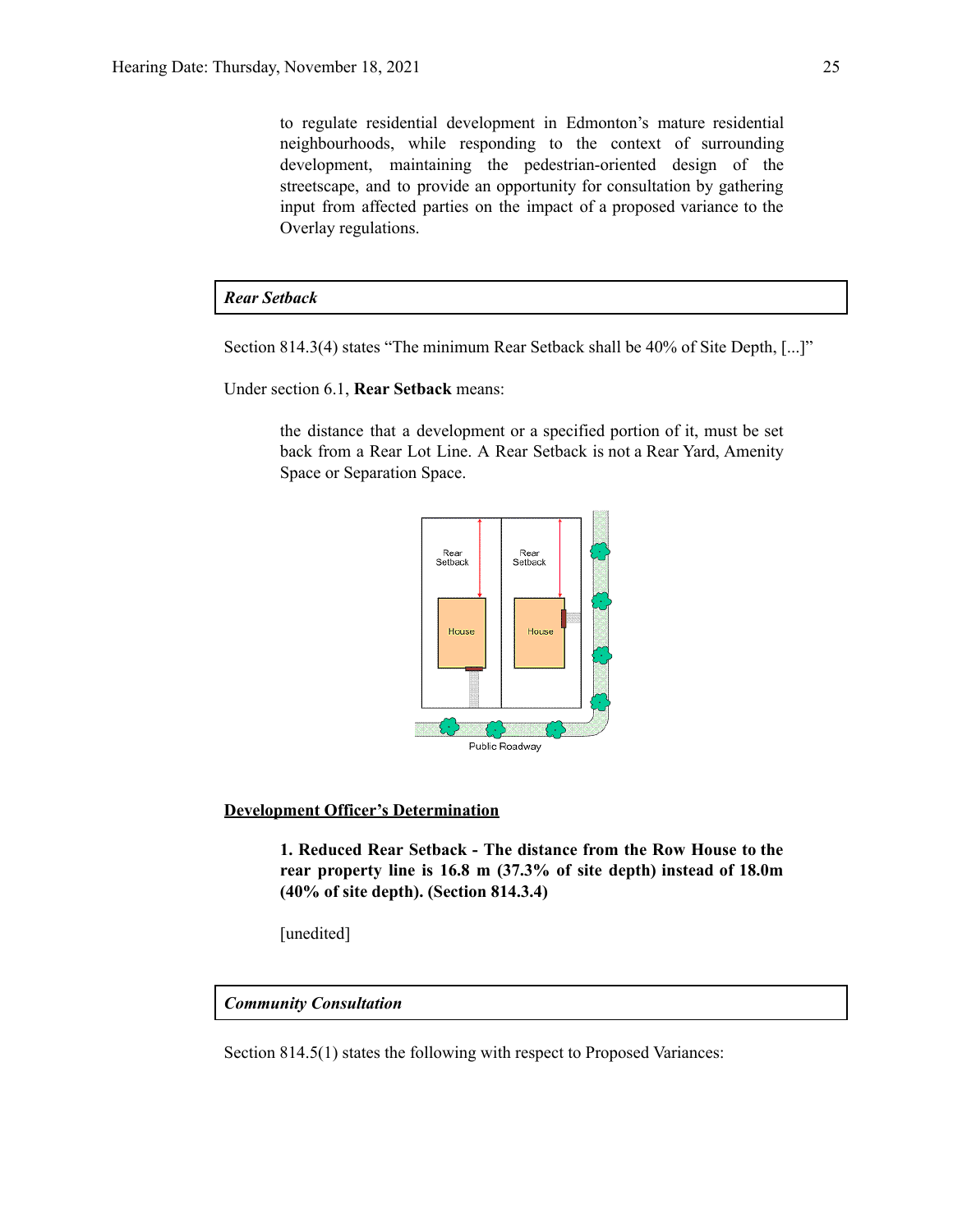to regulate residential development in Edmonton's mature residential neighbourhoods, while responding to the context of surrounding development, maintaining the pedestrian-oriented design of the streetscape, and to provide an opportunity for consultation by gathering input from affected parties on the impact of a proposed variance to the Overlay regulations.

#### *Rear Setback*

Section 814.3(4) states "The minimum Rear Setback shall be 40% of Site Depth, [...]"

Under section 6.1, **Rear Setback** means:

the distance that a development or a specified portion of it, must be set back from a Rear Lot Line. A Rear Setback is not a Rear Yard, Amenity Space or Separation Space.



#### **Development Officer's Determination**

**1. Reduced Rear Setback - The distance from the Row House to the rear property line is 16.8 m (37.3% of site depth) instead of 18.0m (40% of site depth). (Section 814.3.4)**

[unedited]

#### *Community Consultation*

Section 814.5(1) states the following with respect to Proposed Variances: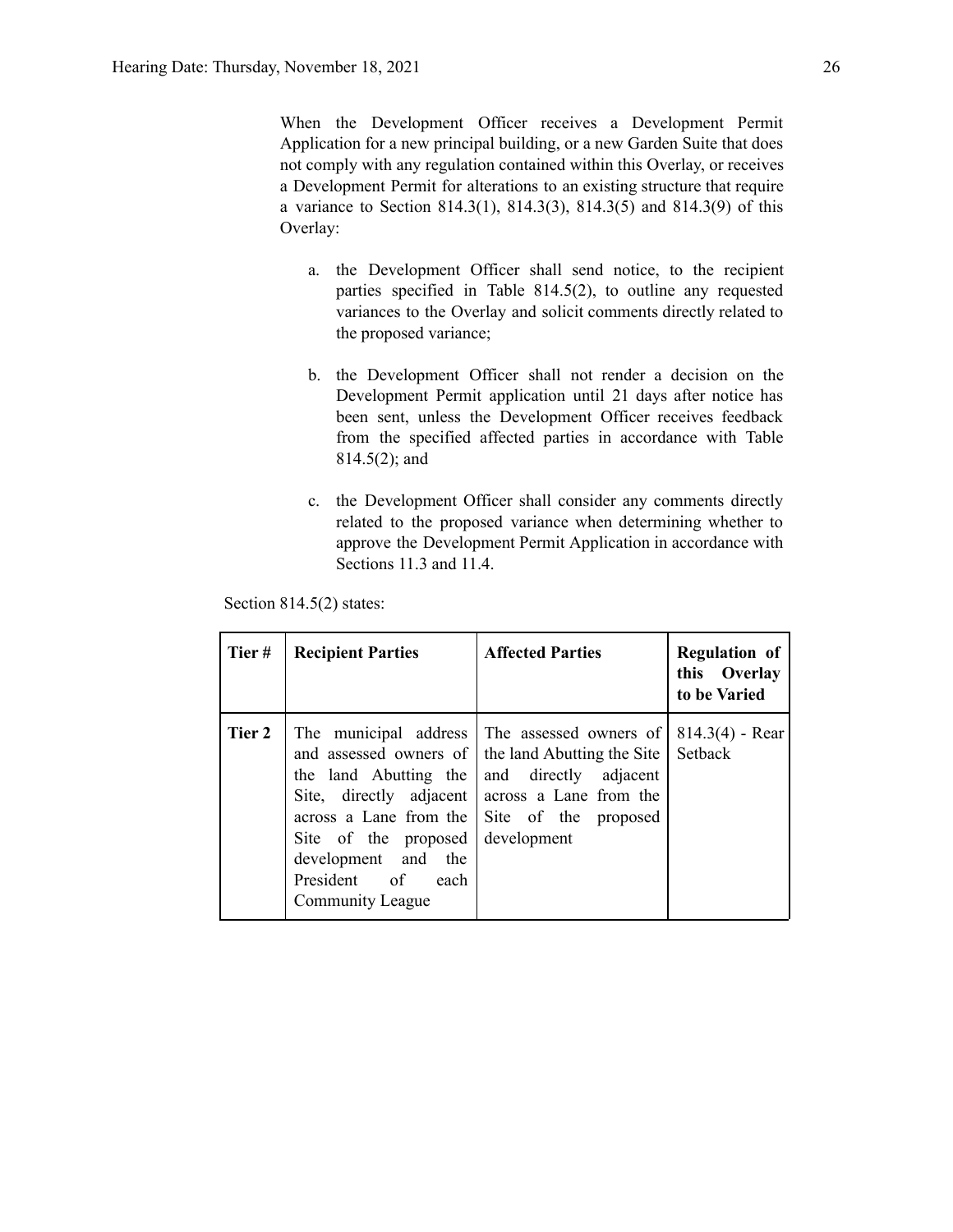When the Development Officer receives a Development Permit Application for a new principal building, or a new Garden Suite that does not comply with any regulation contained within this Overlay, or receives a Development Permit for alterations to an existing structure that require a variance to Section 814.3(1), 814.3(3), 814.3(5) and 814.3(9) of this Overlay:

- a. the Development Officer shall send notice, to the recipient parties specified in Table 814.5(2), to outline any requested variances to the Overlay and solicit comments directly related to the proposed variance;
- b. the Development Officer shall not render a decision on the Development Permit application until 21 days after notice has been sent, unless the Development Officer receives feedback from the specified affected parties in accordance with Table 814.5(2); and
- c. the Development Officer shall consider any comments directly related to the proposed variance when determining whether to approve the Development Permit Application in accordance with Sections 11.3 and 11.4.

Section 814.5(2) states:

| Tier#  | <b>Recipient Parties</b>                                                                                         | <b>Affected Parties</b>                                                                                                                                                                                                                    | <b>Regulation of</b><br>this Overlay<br>to be Varied |
|--------|------------------------------------------------------------------------------------------------------------------|--------------------------------------------------------------------------------------------------------------------------------------------------------------------------------------------------------------------------------------------|------------------------------------------------------|
| Tier 2 | the land Abutting the<br>Site of the proposed<br>development and the<br>President of<br>each<br>Community League | The municipal address The assessed owners of<br>and assessed owners of the land Abutting the Site<br>and directly adjacent<br>Site, directly adjacent across a Lane from the<br>across a Lane from the Site of the proposed<br>development | $814.3(4)$ - Rear<br>Setback                         |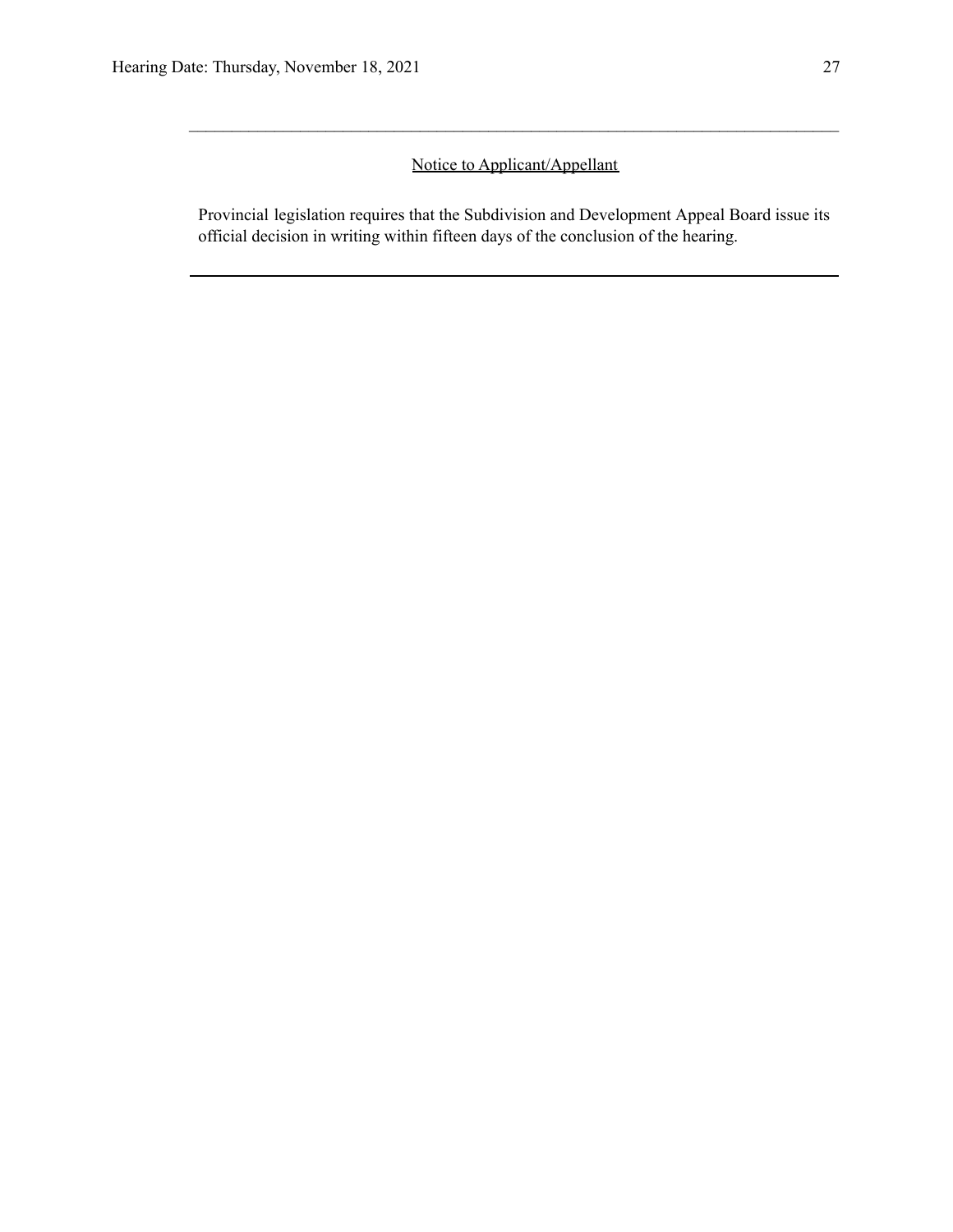## Notice to Applicant/Appellant

 $\mathcal{L}_\mathcal{L} = \{ \mathcal{L}_\mathcal{L} = \{ \mathcal{L}_\mathcal{L} = \{ \mathcal{L}_\mathcal{L} = \{ \mathcal{L}_\mathcal{L} = \{ \mathcal{L}_\mathcal{L} = \{ \mathcal{L}_\mathcal{L} = \{ \mathcal{L}_\mathcal{L} = \{ \mathcal{L}_\mathcal{L} = \{ \mathcal{L}_\mathcal{L} = \{ \mathcal{L}_\mathcal{L} = \{ \mathcal{L}_\mathcal{L} = \{ \mathcal{L}_\mathcal{L} = \{ \mathcal{L}_\mathcal{L} = \{ \mathcal{L}_\mathcal{$ 

Provincial legislation requires that the Subdivision and Development Appeal Board issue its official decision in writing within fifteen days of the conclusion of the hearing.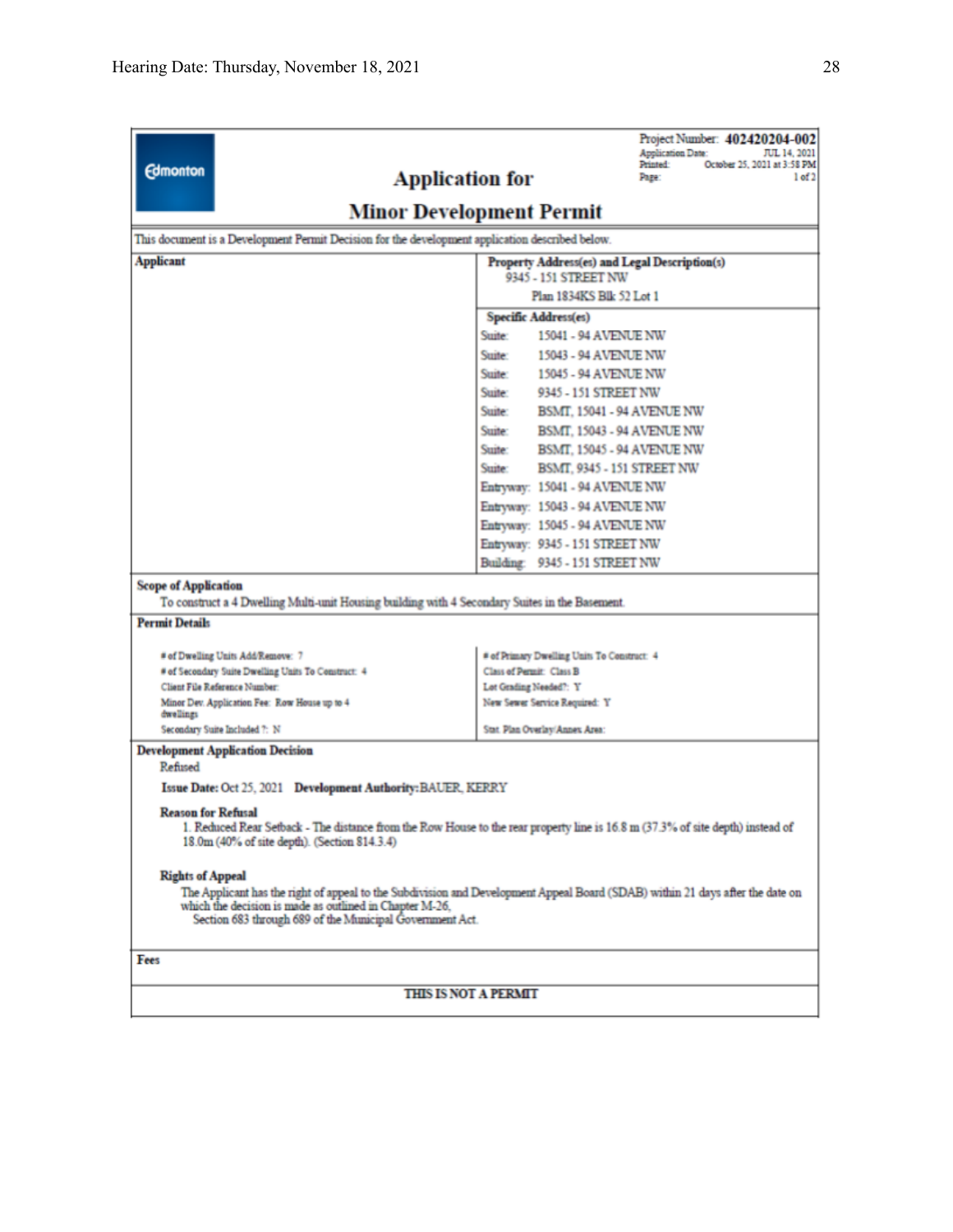| <b>Edmonton</b>                                                                                                                                        | Project Number: 402420204-002<br>Application Date:<br>JUL 14, 2021<br>October 25, 2021 at 3:58 PM<br>Printed:<br><b>Application for</b><br>1 of 2<br>Page: |  |  |  |  |  |
|--------------------------------------------------------------------------------------------------------------------------------------------------------|------------------------------------------------------------------------------------------------------------------------------------------------------------|--|--|--|--|--|
| Minor Development Permit                                                                                                                               |                                                                                                                                                            |  |  |  |  |  |
| This document is a Development Permit Decision for the development application described below.                                                        |                                                                                                                                                            |  |  |  |  |  |
| <b>Applicant</b><br>Property Address(es) and Legal Description(s)                                                                                      |                                                                                                                                                            |  |  |  |  |  |
|                                                                                                                                                        | 9345 - 151 STREET NW<br>Plan 1834KS Blk 52 Lot 1                                                                                                           |  |  |  |  |  |
|                                                                                                                                                        | Specific Address(es)                                                                                                                                       |  |  |  |  |  |
|                                                                                                                                                        | Suite:<br>15041 - 94 AVENUE NW                                                                                                                             |  |  |  |  |  |
|                                                                                                                                                        | Suite:<br>15043 - 94 AVENUE NW                                                                                                                             |  |  |  |  |  |
|                                                                                                                                                        | Suite:<br>15045 - 94 AVENUE NW                                                                                                                             |  |  |  |  |  |
|                                                                                                                                                        | Suite:<br>9345 - 151 STREET NW                                                                                                                             |  |  |  |  |  |
|                                                                                                                                                        | Suite:<br>BSMT, 15041 - 94 AVENUE NW                                                                                                                       |  |  |  |  |  |
|                                                                                                                                                        | Suite:<br>BSMT, 15043 - 94 AVENUE NW                                                                                                                       |  |  |  |  |  |
|                                                                                                                                                        | Suite:<br>BSMT, 15045 - 94 AVENUE NW                                                                                                                       |  |  |  |  |  |
|                                                                                                                                                        | Suite:<br>BSMT, 9345 - 151 STREET NW                                                                                                                       |  |  |  |  |  |
|                                                                                                                                                        | Entryway: 15041 - 94 AVENUE NW                                                                                                                             |  |  |  |  |  |
|                                                                                                                                                        | Entryway: 15043 - 94 AVENUE NW                                                                                                                             |  |  |  |  |  |
|                                                                                                                                                        | Entryway: 15045 - 94 AVENUE NW                                                                                                                             |  |  |  |  |  |
|                                                                                                                                                        | Entryway: 9345 - 151 STREET NW                                                                                                                             |  |  |  |  |  |
|                                                                                                                                                        | Building: 9345 - 151 STREET NW                                                                                                                             |  |  |  |  |  |
| <b>Scope of Application</b><br>To construct a 4 Dwelling Multi-unit Housing building with 4 Secondary Suites in the Basement.<br><b>Permit Details</b> |                                                                                                                                                            |  |  |  |  |  |
| # of Dwelling Units Add/Remove: 7                                                                                                                      | # of Primary Dwelling Units To Construct: 4                                                                                                                |  |  |  |  |  |
| # of Secondary Suite Dwelling Units To Construct: 4                                                                                                    | Class of Permit: Class B                                                                                                                                   |  |  |  |  |  |
| Client File Reference Number:                                                                                                                          | Lot Grading Needed?: Y                                                                                                                                     |  |  |  |  |  |
| Minor Dev. Application Fee: Row House up to 4<br>dwellings                                                                                             | New Sewer Service Required: Y                                                                                                                              |  |  |  |  |  |
| Secondary Suite Included ?: N                                                                                                                          | Stat. Plan Overlay/Annex Area:                                                                                                                             |  |  |  |  |  |
| <b>Development Application Decision</b><br>Refused                                                                                                     |                                                                                                                                                            |  |  |  |  |  |
| Issue Date: Oct 25, 2021 Development Authority: BAUER, KERRY                                                                                           |                                                                                                                                                            |  |  |  |  |  |
| <b>Reason for Refusal</b><br>18.0m (40% of site depth). (Section 814.3.4)                                                                              | 1. Reduced Rear Setback - The distance from the Row House to the rear property line is 16.8 m (37.3% of site depth) instead of                             |  |  |  |  |  |
| <b>Rights of Appeal</b><br>which the decision is made as outlined in Chapter M-26.<br>Section 683 through 689 of the Municipal Government Act.         | The Applicant has the right of appeal to the Subdivision and Development Appeal Board (SDAB) within 21 days after the date on                              |  |  |  |  |  |
| Fees                                                                                                                                                   |                                                                                                                                                            |  |  |  |  |  |
|                                                                                                                                                        |                                                                                                                                                            |  |  |  |  |  |
| <b>THIS IS NOT A PERMIT</b>                                                                                                                            |                                                                                                                                                            |  |  |  |  |  |
|                                                                                                                                                        |                                                                                                                                                            |  |  |  |  |  |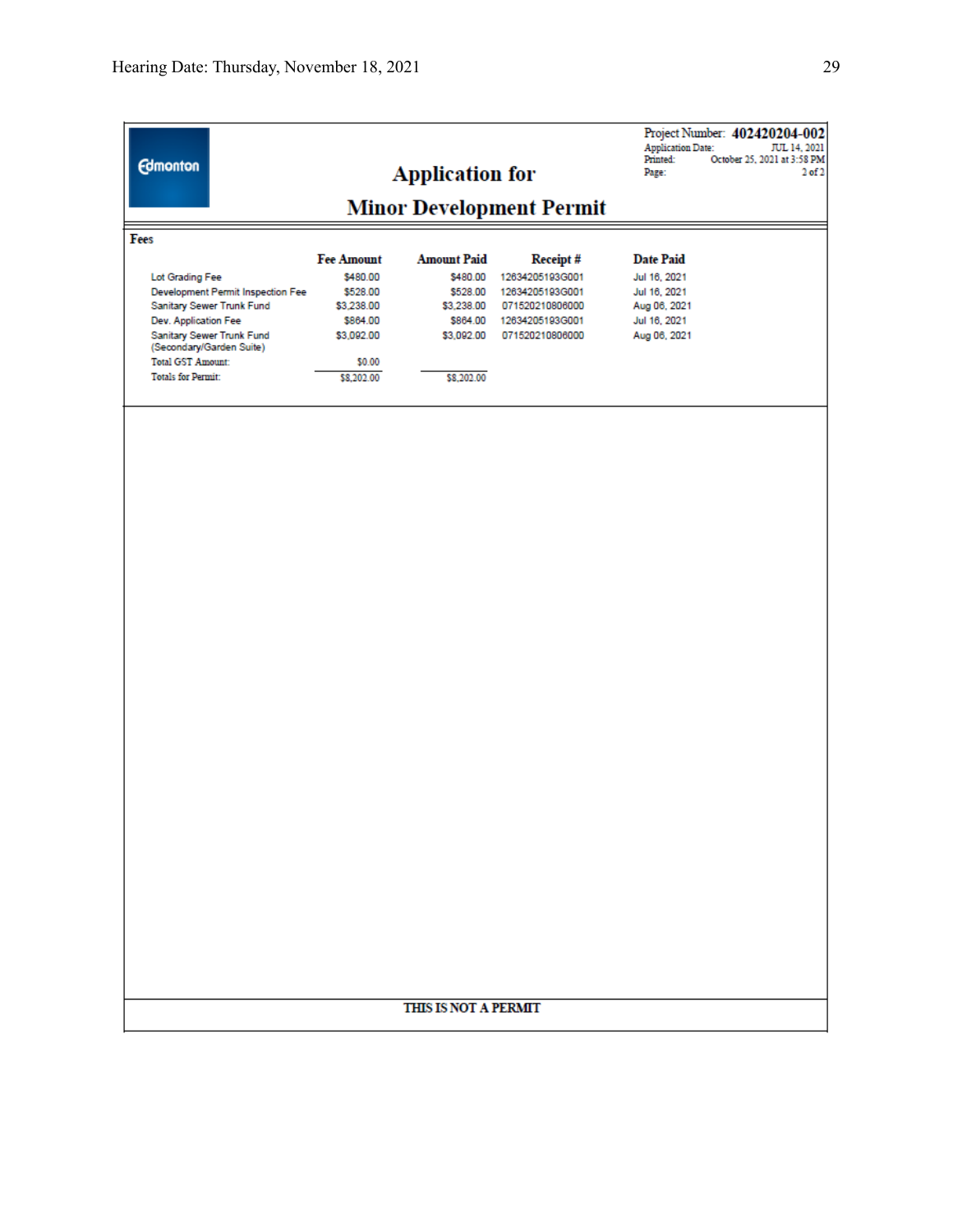| <b>Edmonton</b>                                       | <b>Application for</b><br><b>Minor Development Permit</b> |                                |                             | Project Number: 402420204-002<br><b>Application Date:</b><br>Printed:<br>October 25, 2021 at 3:58 PM<br>Page: | JUL 14, 2021<br>2 <sub>0</sub> f2 |  |
|-------------------------------------------------------|-----------------------------------------------------------|--------------------------------|-----------------------------|---------------------------------------------------------------------------------------------------------------|-----------------------------------|--|
|                                                       |                                                           |                                |                             |                                                                                                               |                                   |  |
| Fees                                                  |                                                           |                                |                             |                                                                                                               |                                   |  |
| Lot Grading Fee                                       | <b>Fee Amount</b><br>\$480.00                             | <b>Amount Paid</b><br>\$480.00 | Receipt#<br>12634205193G001 | <b>Date Paid</b><br>Jul 16, 2021                                                                              |                                   |  |
| Development Permit Inspection Fee                     | \$528.00                                                  | \$528.00                       | 12634205193G001             | Jul 16, 2021                                                                                                  |                                   |  |
| Sanitary Sewer Trunk Fund                             | \$3,238.00                                                | \$3,238.00                     | 071520210806000             | Aug 06, 2021                                                                                                  |                                   |  |
| Dev. Application Fee                                  | \$864.00                                                  | \$864.00                       | 12634205193G001             | Jul 16, 2021                                                                                                  |                                   |  |
| Sanitary Sewer Trunk Fund<br>(Secondary/Garden Suite) | \$3,092.00                                                | \$3,092.00                     | 071520210806000             | Aug 06, 2021                                                                                                  |                                   |  |
| <b>Total GST Amount:</b>                              | \$0.00                                                    |                                |                             |                                                                                                               |                                   |  |
| <b>Totals for Permit:</b>                             | \$8,202.00                                                | \$8,202.00                     |                             |                                                                                                               |                                   |  |
|                                                       |                                                           |                                |                             |                                                                                                               |                                   |  |
|                                                       |                                                           | THIS IS NOT A PERMIT           |                             |                                                                                                               |                                   |  |
|                                                       |                                                           |                                |                             |                                                                                                               |                                   |  |
|                                                       |                                                           |                                |                             |                                                                                                               |                                   |  |